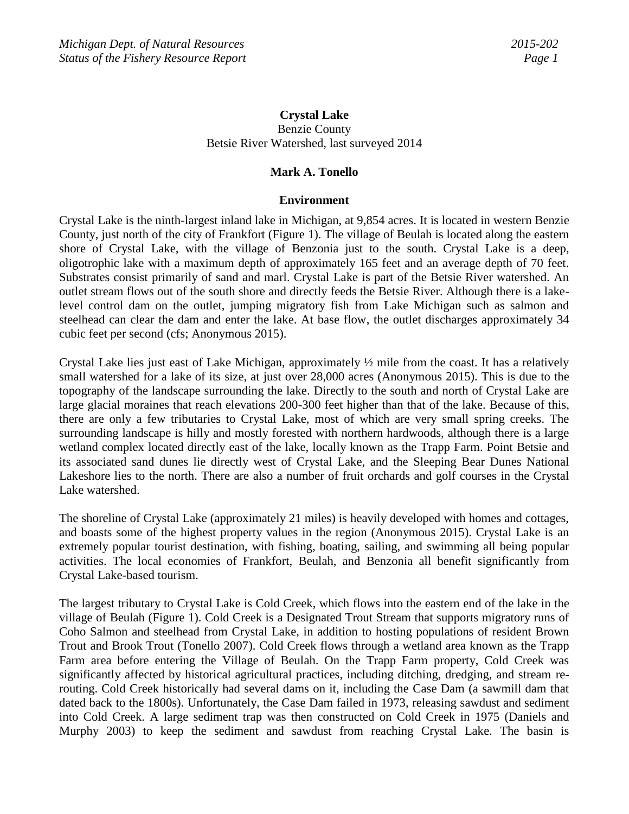# **Crystal Lake** Benzie County Betsie River Watershed, last surveyed 2014

# **Mark A. Tonello**

## **Environment**

Crystal Lake is the ninth-largest inland lake in Michigan, at 9,854 acres. It is located in western Benzie County, just north of the city of Frankfort (Figure 1). The village of Beulah is located along the eastern shore of Crystal Lake, with the village of Benzonia just to the south. Crystal Lake is a deep, oligotrophic lake with a maximum depth of approximately 165 feet and an average depth of 70 feet. Substrates consist primarily of sand and marl. Crystal Lake is part of the Betsie River watershed. An outlet stream flows out of the south shore and directly feeds the Betsie River. Although there is a lakelevel control dam on the outlet, jumping migratory fish from Lake Michigan such as salmon and steelhead can clear the dam and enter the lake. At base flow, the outlet discharges approximately 34 cubic feet per second (cfs; Anonymous 2015).

Crystal Lake lies just east of Lake Michigan, approximately  $\frac{1}{2}$  mile from the coast. It has a relatively small watershed for a lake of its size, at just over 28,000 acres (Anonymous 2015). This is due to the topography of the landscape surrounding the lake. Directly to the south and north of Crystal Lake are large glacial moraines that reach elevations 200-300 feet higher than that of the lake. Because of this, there are only a few tributaries to Crystal Lake, most of which are very small spring creeks. The surrounding landscape is hilly and mostly forested with northern hardwoods, although there is a large wetland complex located directly east of the lake, locally known as the Trapp Farm. Point Betsie and its associated sand dunes lie directly west of Crystal Lake, and the Sleeping Bear Dunes National Lakeshore lies to the north. There are also a number of fruit orchards and golf courses in the Crystal Lake watershed.

The shoreline of Crystal Lake (approximately 21 miles) is heavily developed with homes and cottages, and boasts some of the highest property values in the region (Anonymous 2015). Crystal Lake is an extremely popular tourist destination, with fishing, boating, sailing, and swimming all being popular activities. The local economies of Frankfort, Beulah, and Benzonia all benefit significantly from Crystal Lake-based tourism.

The largest tributary to Crystal Lake is Cold Creek, which flows into the eastern end of the lake in the village of Beulah (Figure 1). Cold Creek is a Designated Trout Stream that supports migratory runs of Coho Salmon and steelhead from Crystal Lake, in addition to hosting populations of resident Brown Trout and Brook Trout (Tonello 2007). Cold Creek flows through a wetland area known as the Trapp Farm area before entering the Village of Beulah. On the Trapp Farm property, Cold Creek was significantly affected by historical agricultural practices, including ditching, dredging, and stream rerouting. Cold Creek historically had several dams on it, including the Case Dam (a sawmill dam that dated back to the 1800s). Unfortunately, the Case Dam failed in 1973, releasing sawdust and sediment into Cold Creek. A large sediment trap was then constructed on Cold Creek in 1975 (Daniels and Murphy 2003) to keep the sediment and sawdust from reaching Crystal Lake. The basin is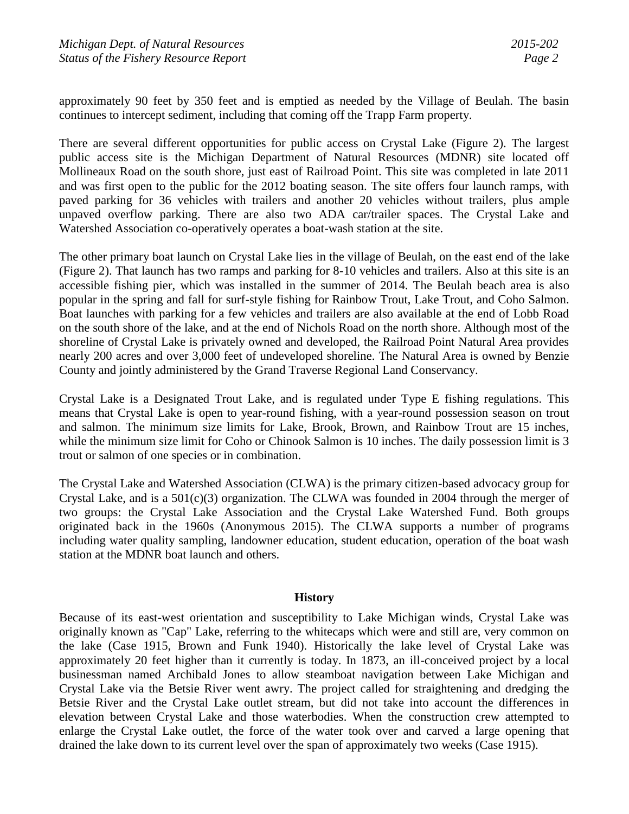approximately 90 feet by 350 feet and is emptied as needed by the Village of Beulah. The basin continues to intercept sediment, including that coming off the Trapp Farm property.

There are several different opportunities for public access on Crystal Lake (Figure 2). The largest public access site is the Michigan Department of Natural Resources (MDNR) site located off Mollineaux Road on the south shore, just east of Railroad Point. This site was completed in late 2011 and was first open to the public for the 2012 boating season. The site offers four launch ramps, with paved parking for 36 vehicles with trailers and another 20 vehicles without trailers, plus ample unpaved overflow parking. There are also two ADA car/trailer spaces. The Crystal Lake and Watershed Association co-operatively operates a boat-wash station at the site.

The other primary boat launch on Crystal Lake lies in the village of Beulah, on the east end of the lake (Figure 2). That launch has two ramps and parking for 8-10 vehicles and trailers. Also at this site is an accessible fishing pier, which was installed in the summer of 2014. The Beulah beach area is also popular in the spring and fall for surf-style fishing for Rainbow Trout, Lake Trout, and Coho Salmon. Boat launches with parking for a few vehicles and trailers are also available at the end of Lobb Road on the south shore of the lake, and at the end of Nichols Road on the north shore. Although most of the shoreline of Crystal Lake is privately owned and developed, the Railroad Point Natural Area provides nearly 200 acres and over 3,000 feet of undeveloped shoreline. The Natural Area is owned by Benzie County and jointly administered by the Grand Traverse Regional Land Conservancy.

Crystal Lake is a Designated Trout Lake, and is regulated under Type E fishing regulations. This means that Crystal Lake is open to year-round fishing, with a year-round possession season on trout and salmon. The minimum size limits for Lake, Brook, Brown, and Rainbow Trout are 15 inches, while the minimum size limit for Coho or Chinook Salmon is 10 inches. The daily possession limit is 3 trout or salmon of one species or in combination.

The Crystal Lake and Watershed Association (CLWA) is the primary citizen-based advocacy group for Crystal Lake, and is a 501(c)(3) organization. The CLWA was founded in 2004 through the merger of two groups: the Crystal Lake Association and the Crystal Lake Watershed Fund. Both groups originated back in the 1960s (Anonymous 2015). The CLWA supports a number of programs including water quality sampling, landowner education, student education, operation of the boat wash station at the MDNR boat launch and others.

## **History**

Because of its east-west orientation and susceptibility to Lake Michigan winds, Crystal Lake was originally known as "Cap" Lake, referring to the whitecaps which were and still are, very common on the lake (Case 1915, Brown and Funk 1940). Historically the lake level of Crystal Lake was approximately 20 feet higher than it currently is today. In 1873, an ill-conceived project by a local businessman named Archibald Jones to allow steamboat navigation between Lake Michigan and Crystal Lake via the Betsie River went awry. The project called for straightening and dredging the Betsie River and the Crystal Lake outlet stream, but did not take into account the differences in elevation between Crystal Lake and those waterbodies. When the construction crew attempted to enlarge the Crystal Lake outlet, the force of the water took over and carved a large opening that drained the lake down to its current level over the span of approximately two weeks (Case 1915).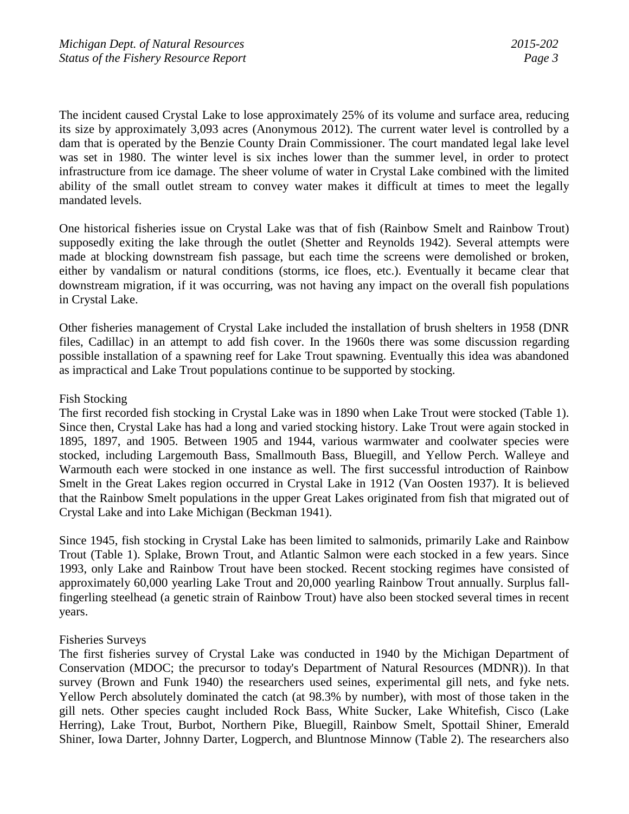The incident caused Crystal Lake to lose approximately 25% of its volume and surface area, reducing its size by approximately 3,093 acres (Anonymous 2012). The current water level is controlled by a dam that is operated by the Benzie County Drain Commissioner. The court mandated legal lake level was set in 1980. The winter level is six inches lower than the summer level, in order to protect infrastructure from ice damage. The sheer volume of water in Crystal Lake combined with the limited ability of the small outlet stream to convey water makes it difficult at times to meet the legally mandated levels.

One historical fisheries issue on Crystal Lake was that of fish (Rainbow Smelt and Rainbow Trout) supposedly exiting the lake through the outlet (Shetter and Reynolds 1942). Several attempts were made at blocking downstream fish passage, but each time the screens were demolished or broken, either by vandalism or natural conditions (storms, ice floes, etc.). Eventually it became clear that downstream migration, if it was occurring, was not having any impact on the overall fish populations in Crystal Lake.

Other fisheries management of Crystal Lake included the installation of brush shelters in 1958 (DNR files, Cadillac) in an attempt to add fish cover. In the 1960s there was some discussion regarding possible installation of a spawning reef for Lake Trout spawning. Eventually this idea was abandoned as impractical and Lake Trout populations continue to be supported by stocking.

## Fish Stocking

The first recorded fish stocking in Crystal Lake was in 1890 when Lake Trout were stocked (Table 1). Since then, Crystal Lake has had a long and varied stocking history. Lake Trout were again stocked in 1895, 1897, and 1905. Between 1905 and 1944, various warmwater and coolwater species were stocked, including Largemouth Bass, Smallmouth Bass, Bluegill, and Yellow Perch. Walleye and Warmouth each were stocked in one instance as well. The first successful introduction of Rainbow Smelt in the Great Lakes region occurred in Crystal Lake in 1912 (Van Oosten 1937). It is believed that the Rainbow Smelt populations in the upper Great Lakes originated from fish that migrated out of Crystal Lake and into Lake Michigan (Beckman 1941).

Since 1945, fish stocking in Crystal Lake has been limited to salmonids, primarily Lake and Rainbow Trout (Table 1). Splake, Brown Trout, and Atlantic Salmon were each stocked in a few years. Since 1993, only Lake and Rainbow Trout have been stocked. Recent stocking regimes have consisted of approximately 60,000 yearling Lake Trout and 20,000 yearling Rainbow Trout annually. Surplus fallfingerling steelhead (a genetic strain of Rainbow Trout) have also been stocked several times in recent years.

## Fisheries Surveys

The first fisheries survey of Crystal Lake was conducted in 1940 by the Michigan Department of Conservation (MDOC; the precursor to today's Department of Natural Resources (MDNR)). In that survey (Brown and Funk 1940) the researchers used seines, experimental gill nets, and fyke nets. Yellow Perch absolutely dominated the catch (at 98.3% by number), with most of those taken in the gill nets. Other species caught included Rock Bass, White Sucker, Lake Whitefish, Cisco (Lake Herring), Lake Trout, Burbot, Northern Pike, Bluegill, Rainbow Smelt, Spottail Shiner, Emerald Shiner, Iowa Darter, Johnny Darter, Logperch, and Bluntnose Minnow (Table 2). The researchers also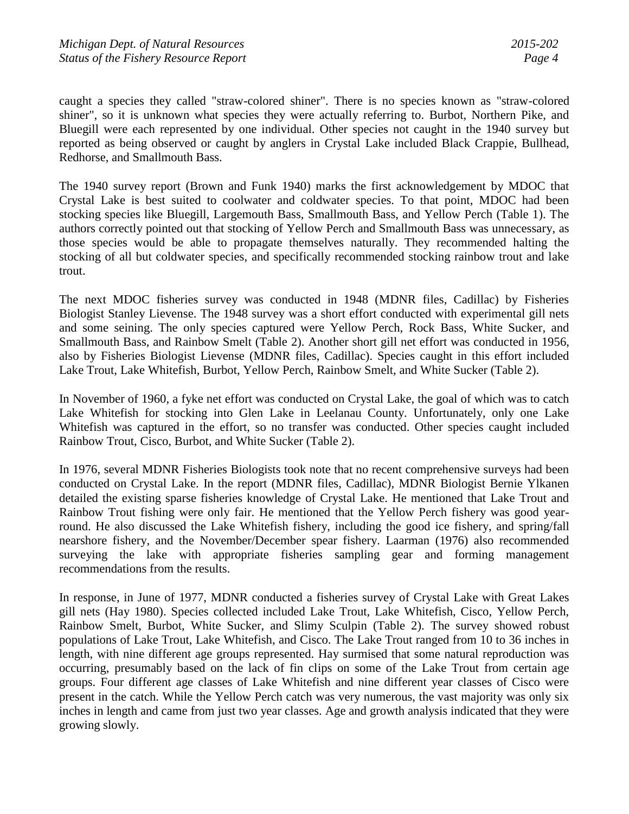caught a species they called "straw-colored shiner". There is no species known as "straw-colored shiner", so it is unknown what species they were actually referring to. Burbot, Northern Pike, and Bluegill were each represented by one individual. Other species not caught in the 1940 survey but reported as being observed or caught by anglers in Crystal Lake included Black Crappie, Bullhead, Redhorse, and Smallmouth Bass.

The 1940 survey report (Brown and Funk 1940) marks the first acknowledgement by MDOC that Crystal Lake is best suited to coolwater and coldwater species. To that point, MDOC had been stocking species like Bluegill, Largemouth Bass, Smallmouth Bass, and Yellow Perch (Table 1). The authors correctly pointed out that stocking of Yellow Perch and Smallmouth Bass was unnecessary, as those species would be able to propagate themselves naturally. They recommended halting the stocking of all but coldwater species, and specifically recommended stocking rainbow trout and lake trout.

The next MDOC fisheries survey was conducted in 1948 (MDNR files, Cadillac) by Fisheries Biologist Stanley Lievense. The 1948 survey was a short effort conducted with experimental gill nets and some seining. The only species captured were Yellow Perch, Rock Bass, White Sucker, and Smallmouth Bass, and Rainbow Smelt (Table 2). Another short gill net effort was conducted in 1956, also by Fisheries Biologist Lievense (MDNR files, Cadillac). Species caught in this effort included Lake Trout, Lake Whitefish, Burbot, Yellow Perch, Rainbow Smelt, and White Sucker (Table 2).

In November of 1960, a fyke net effort was conducted on Crystal Lake, the goal of which was to catch Lake Whitefish for stocking into Glen Lake in Leelanau County. Unfortunately, only one Lake Whitefish was captured in the effort, so no transfer was conducted. Other species caught included Rainbow Trout, Cisco, Burbot, and White Sucker (Table 2).

In 1976, several MDNR Fisheries Biologists took note that no recent comprehensive surveys had been conducted on Crystal Lake. In the report (MDNR files, Cadillac), MDNR Biologist Bernie Ylkanen detailed the existing sparse fisheries knowledge of Crystal Lake. He mentioned that Lake Trout and Rainbow Trout fishing were only fair. He mentioned that the Yellow Perch fishery was good yearround. He also discussed the Lake Whitefish fishery, including the good ice fishery, and spring/fall nearshore fishery, and the November/December spear fishery. Laarman (1976) also recommended surveying the lake with appropriate fisheries sampling gear and forming management recommendations from the results.

In response, in June of 1977, MDNR conducted a fisheries survey of Crystal Lake with Great Lakes gill nets (Hay 1980). Species collected included Lake Trout, Lake Whitefish, Cisco, Yellow Perch, Rainbow Smelt, Burbot, White Sucker, and Slimy Sculpin (Table 2). The survey showed robust populations of Lake Trout, Lake Whitefish, and Cisco. The Lake Trout ranged from 10 to 36 inches in length, with nine different age groups represented. Hay surmised that some natural reproduction was occurring, presumably based on the lack of fin clips on some of the Lake Trout from certain age groups. Four different age classes of Lake Whitefish and nine different year classes of Cisco were present in the catch. While the Yellow Perch catch was very numerous, the vast majority was only six inches in length and came from just two year classes. Age and growth analysis indicated that they were growing slowly.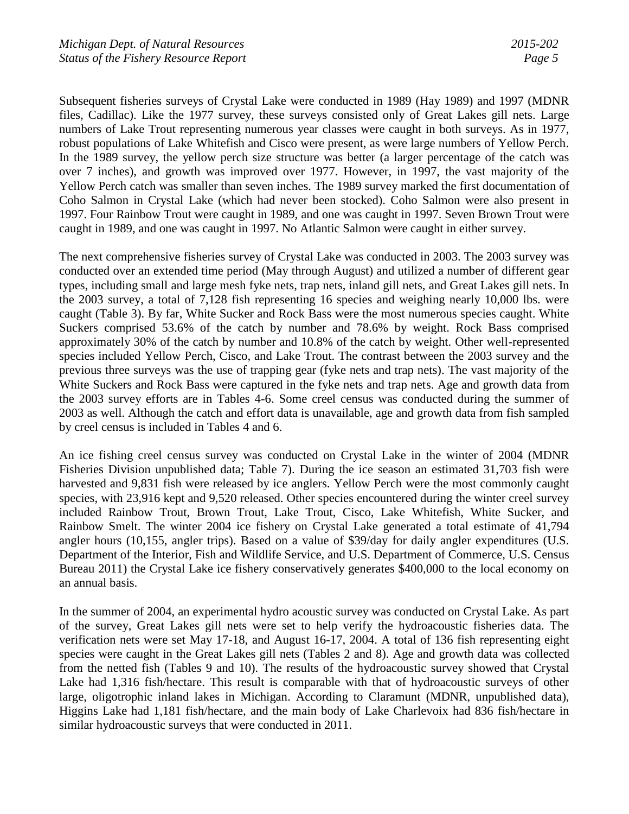Subsequent fisheries surveys of Crystal Lake were conducted in 1989 (Hay 1989) and 1997 (MDNR files, Cadillac). Like the 1977 survey, these surveys consisted only of Great Lakes gill nets. Large numbers of Lake Trout representing numerous year classes were caught in both surveys. As in 1977, robust populations of Lake Whitefish and Cisco were present, as were large numbers of Yellow Perch. In the 1989 survey, the yellow perch size structure was better (a larger percentage of the catch was over 7 inches), and growth was improved over 1977. However, in 1997, the vast majority of the Yellow Perch catch was smaller than seven inches. The 1989 survey marked the first documentation of Coho Salmon in Crystal Lake (which had never been stocked). Coho Salmon were also present in 1997. Four Rainbow Trout were caught in 1989, and one was caught in 1997. Seven Brown Trout were caught in 1989, and one was caught in 1997. No Atlantic Salmon were caught in either survey.

The next comprehensive fisheries survey of Crystal Lake was conducted in 2003. The 2003 survey was conducted over an extended time period (May through August) and utilized a number of different gear types, including small and large mesh fyke nets, trap nets, inland gill nets, and Great Lakes gill nets. In the 2003 survey, a total of 7,128 fish representing 16 species and weighing nearly 10,000 lbs. were caught (Table 3). By far, White Sucker and Rock Bass were the most numerous species caught. White Suckers comprised 53.6% of the catch by number and 78.6% by weight. Rock Bass comprised approximately 30% of the catch by number and 10.8% of the catch by weight. Other well-represented species included Yellow Perch, Cisco, and Lake Trout. The contrast between the 2003 survey and the previous three surveys was the use of trapping gear (fyke nets and trap nets). The vast majority of the White Suckers and Rock Bass were captured in the fyke nets and trap nets. Age and growth data from the 2003 survey efforts are in Tables 4-6. Some creel census was conducted during the summer of 2003 as well. Although the catch and effort data is unavailable, age and growth data from fish sampled by creel census is included in Tables 4 and 6.

An ice fishing creel census survey was conducted on Crystal Lake in the winter of 2004 (MDNR Fisheries Division unpublished data; Table 7). During the ice season an estimated 31,703 fish were harvested and 9,831 fish were released by ice anglers. Yellow Perch were the most commonly caught species, with 23,916 kept and 9,520 released. Other species encountered during the winter creel survey included Rainbow Trout, Brown Trout, Lake Trout, Cisco, Lake Whitefish, White Sucker, and Rainbow Smelt. The winter 2004 ice fishery on Crystal Lake generated a total estimate of 41,794 angler hours (10,155, angler trips). Based on a value of \$39/day for daily angler expenditures (U.S. Department of the Interior, Fish and Wildlife Service, and U.S. Department of Commerce, U.S. Census Bureau 2011) the Crystal Lake ice fishery conservatively generates \$400,000 to the local economy on an annual basis.

In the summer of 2004, an experimental hydro acoustic survey was conducted on Crystal Lake. As part of the survey, Great Lakes gill nets were set to help verify the hydroacoustic fisheries data. The verification nets were set May 17-18, and August 16-17, 2004. A total of 136 fish representing eight species were caught in the Great Lakes gill nets (Tables 2 and 8). Age and growth data was collected from the netted fish (Tables 9 and 10). The results of the hydroacoustic survey showed that Crystal Lake had 1,316 fish/hectare. This result is comparable with that of hydroacoustic surveys of other large, oligotrophic inland lakes in Michigan. According to Claramunt (MDNR, unpublished data), Higgins Lake had 1,181 fish/hectare, and the main body of Lake Charlevoix had 836 fish/hectare in similar hydroacoustic surveys that were conducted in 2011.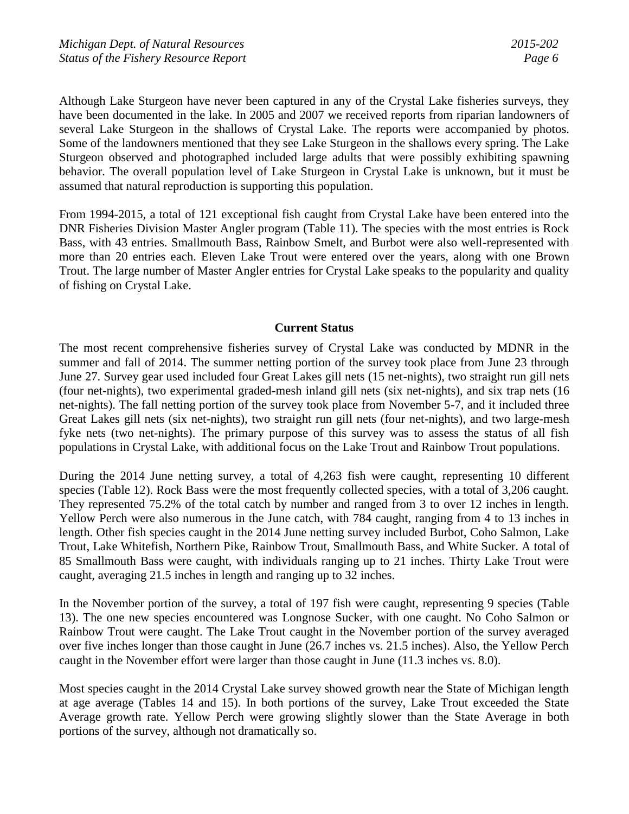Although Lake Sturgeon have never been captured in any of the Crystal Lake fisheries surveys, they have been documented in the lake. In 2005 and 2007 we received reports from riparian landowners of several Lake Sturgeon in the shallows of Crystal Lake. The reports were accompanied by photos. Some of the landowners mentioned that they see Lake Sturgeon in the shallows every spring. The Lake Sturgeon observed and photographed included large adults that were possibly exhibiting spawning behavior. The overall population level of Lake Sturgeon in Crystal Lake is unknown, but it must be assumed that natural reproduction is supporting this population.

From 1994-2015, a total of 121 exceptional fish caught from Crystal Lake have been entered into the DNR Fisheries Division Master Angler program (Table 11). The species with the most entries is Rock Bass, with 43 entries. Smallmouth Bass, Rainbow Smelt, and Burbot were also well-represented with more than 20 entries each. Eleven Lake Trout were entered over the years, along with one Brown Trout. The large number of Master Angler entries for Crystal Lake speaks to the popularity and quality of fishing on Crystal Lake.

#### **Current Status**

The most recent comprehensive fisheries survey of Crystal Lake was conducted by MDNR in the summer and fall of 2014. The summer netting portion of the survey took place from June 23 through June 27. Survey gear used included four Great Lakes gill nets (15 net-nights), two straight run gill nets (four net-nights), two experimental graded-mesh inland gill nets (six net-nights), and six trap nets (16 net-nights). The fall netting portion of the survey took place from November 5-7, and it included three Great Lakes gill nets (six net-nights), two straight run gill nets (four net-nights), and two large-mesh fyke nets (two net-nights). The primary purpose of this survey was to assess the status of all fish populations in Crystal Lake, with additional focus on the Lake Trout and Rainbow Trout populations.

During the 2014 June netting survey, a total of 4,263 fish were caught, representing 10 different species (Table 12). Rock Bass were the most frequently collected species, with a total of 3,206 caught. They represented 75.2% of the total catch by number and ranged from 3 to over 12 inches in length. Yellow Perch were also numerous in the June catch, with 784 caught, ranging from 4 to 13 inches in length. Other fish species caught in the 2014 June netting survey included Burbot, Coho Salmon, Lake Trout, Lake Whitefish, Northern Pike, Rainbow Trout, Smallmouth Bass, and White Sucker. A total of 85 Smallmouth Bass were caught, with individuals ranging up to 21 inches. Thirty Lake Trout were caught, averaging 21.5 inches in length and ranging up to 32 inches.

In the November portion of the survey, a total of 197 fish were caught, representing 9 species (Table 13). The one new species encountered was Longnose Sucker, with one caught. No Coho Salmon or Rainbow Trout were caught. The Lake Trout caught in the November portion of the survey averaged over five inches longer than those caught in June (26.7 inches vs. 21.5 inches). Also, the Yellow Perch caught in the November effort were larger than those caught in June (11.3 inches vs. 8.0).

Most species caught in the 2014 Crystal Lake survey showed growth near the State of Michigan length at age average (Tables 14 and 15). In both portions of the survey, Lake Trout exceeded the State Average growth rate. Yellow Perch were growing slightly slower than the State Average in both portions of the survey, although not dramatically so.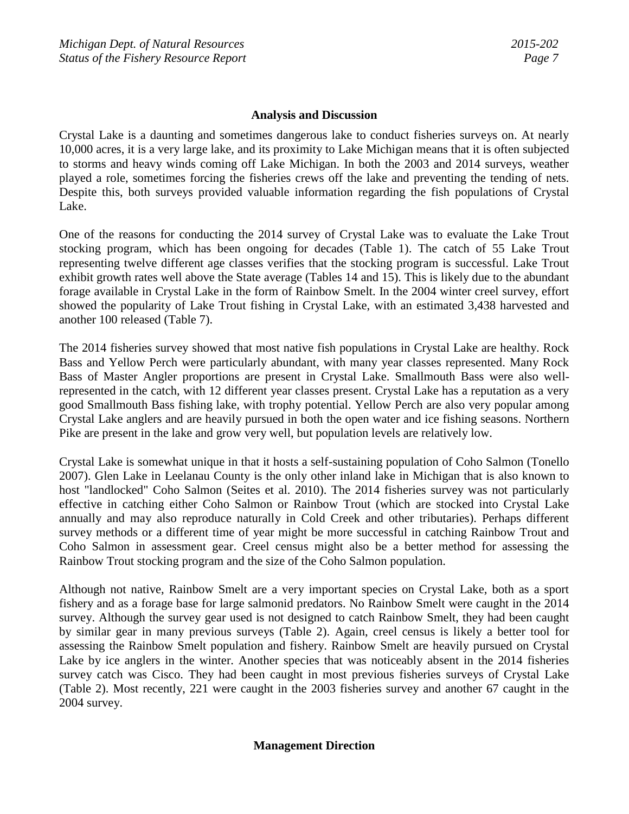#### **Analysis and Discussion**

Crystal Lake is a daunting and sometimes dangerous lake to conduct fisheries surveys on. At nearly 10,000 acres, it is a very large lake, and its proximity to Lake Michigan means that it is often subjected to storms and heavy winds coming off Lake Michigan. In both the 2003 and 2014 surveys, weather played a role, sometimes forcing the fisheries crews off the lake and preventing the tending of nets. Despite this, both surveys provided valuable information regarding the fish populations of Crystal Lake.

One of the reasons for conducting the 2014 survey of Crystal Lake was to evaluate the Lake Trout stocking program, which has been ongoing for decades (Table 1). The catch of 55 Lake Trout representing twelve different age classes verifies that the stocking program is successful. Lake Trout exhibit growth rates well above the State average (Tables 14 and 15). This is likely due to the abundant forage available in Crystal Lake in the form of Rainbow Smelt. In the 2004 winter creel survey, effort showed the popularity of Lake Trout fishing in Crystal Lake, with an estimated 3,438 harvested and another 100 released (Table 7).

The 2014 fisheries survey showed that most native fish populations in Crystal Lake are healthy. Rock Bass and Yellow Perch were particularly abundant, with many year classes represented. Many Rock Bass of Master Angler proportions are present in Crystal Lake. Smallmouth Bass were also wellrepresented in the catch, with 12 different year classes present. Crystal Lake has a reputation as a very good Smallmouth Bass fishing lake, with trophy potential. Yellow Perch are also very popular among Crystal Lake anglers and are heavily pursued in both the open water and ice fishing seasons. Northern Pike are present in the lake and grow very well, but population levels are relatively low.

Crystal Lake is somewhat unique in that it hosts a self-sustaining population of Coho Salmon (Tonello 2007). Glen Lake in Leelanau County is the only other inland lake in Michigan that is also known to host "landlocked" Coho Salmon (Seites et al. 2010). The 2014 fisheries survey was not particularly effective in catching either Coho Salmon or Rainbow Trout (which are stocked into Crystal Lake annually and may also reproduce naturally in Cold Creek and other tributaries). Perhaps different survey methods or a different time of year might be more successful in catching Rainbow Trout and Coho Salmon in assessment gear. Creel census might also be a better method for assessing the Rainbow Trout stocking program and the size of the Coho Salmon population.

Although not native, Rainbow Smelt are a very important species on Crystal Lake, both as a sport fishery and as a forage base for large salmonid predators. No Rainbow Smelt were caught in the 2014 survey. Although the survey gear used is not designed to catch Rainbow Smelt, they had been caught by similar gear in many previous surveys (Table 2). Again, creel census is likely a better tool for assessing the Rainbow Smelt population and fishery. Rainbow Smelt are heavily pursued on Crystal Lake by ice anglers in the winter. Another species that was noticeably absent in the 2014 fisheries survey catch was Cisco. They had been caught in most previous fisheries surveys of Crystal Lake (Table 2). Most recently, 221 were caught in the 2003 fisheries survey and another 67 caught in the 2004 survey.

## **Management Direction**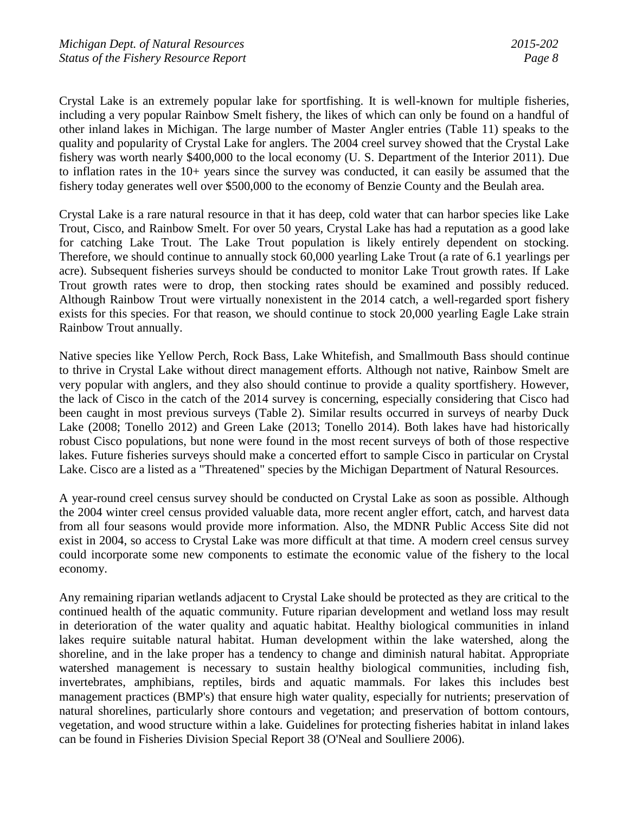Crystal Lake is an extremely popular lake for sportfishing. It is well-known for multiple fisheries, including a very popular Rainbow Smelt fishery, the likes of which can only be found on a handful of other inland lakes in Michigan. The large number of Master Angler entries (Table 11) speaks to the quality and popularity of Crystal Lake for anglers. The 2004 creel survey showed that the Crystal Lake fishery was worth nearly \$400,000 to the local economy (U. S. Department of the Interior 2011). Due to inflation rates in the 10+ years since the survey was conducted, it can easily be assumed that the fishery today generates well over \$500,000 to the economy of Benzie County and the Beulah area.

Crystal Lake is a rare natural resource in that it has deep, cold water that can harbor species like Lake Trout, Cisco, and Rainbow Smelt. For over 50 years, Crystal Lake has had a reputation as a good lake for catching Lake Trout. The Lake Trout population is likely entirely dependent on stocking. Therefore, we should continue to annually stock 60,000 yearling Lake Trout (a rate of 6.1 yearlings per acre). Subsequent fisheries surveys should be conducted to monitor Lake Trout growth rates. If Lake Trout growth rates were to drop, then stocking rates should be examined and possibly reduced. Although Rainbow Trout were virtually nonexistent in the 2014 catch, a well-regarded sport fishery exists for this species. For that reason, we should continue to stock 20,000 yearling Eagle Lake strain Rainbow Trout annually.

Native species like Yellow Perch, Rock Bass, Lake Whitefish, and Smallmouth Bass should continue to thrive in Crystal Lake without direct management efforts. Although not native, Rainbow Smelt are very popular with anglers, and they also should continue to provide a quality sportfishery. However, the lack of Cisco in the catch of the 2014 survey is concerning, especially considering that Cisco had been caught in most previous surveys (Table 2). Similar results occurred in surveys of nearby Duck Lake (2008; Tonello 2012) and Green Lake (2013; Tonello 2014). Both lakes have had historically robust Cisco populations, but none were found in the most recent surveys of both of those respective lakes. Future fisheries surveys should make a concerted effort to sample Cisco in particular on Crystal Lake. Cisco are a listed as a "Threatened" species by the Michigan Department of Natural Resources.

A year-round creel census survey should be conducted on Crystal Lake as soon as possible. Although the 2004 winter creel census provided valuable data, more recent angler effort, catch, and harvest data from all four seasons would provide more information. Also, the MDNR Public Access Site did not exist in 2004, so access to Crystal Lake was more difficult at that time. A modern creel census survey could incorporate some new components to estimate the economic value of the fishery to the local economy.

Any remaining riparian wetlands adjacent to Crystal Lake should be protected as they are critical to the continued health of the aquatic community. Future riparian development and wetland loss may result in deterioration of the water quality and aquatic habitat. Healthy biological communities in inland lakes require suitable natural habitat. Human development within the lake watershed, along the shoreline, and in the lake proper has a tendency to change and diminish natural habitat. Appropriate watershed management is necessary to sustain healthy biological communities, including fish, invertebrates, amphibians, reptiles, birds and aquatic mammals. For lakes this includes best management practices (BMP's) that ensure high water quality, especially for nutrients; preservation of natural shorelines, particularly shore contours and vegetation; and preservation of bottom contours, vegetation, and wood structure within a lake. Guidelines for protecting fisheries habitat in inland lakes can be found in Fisheries Division Special Report 38 (O'Neal and Soulliere 2006).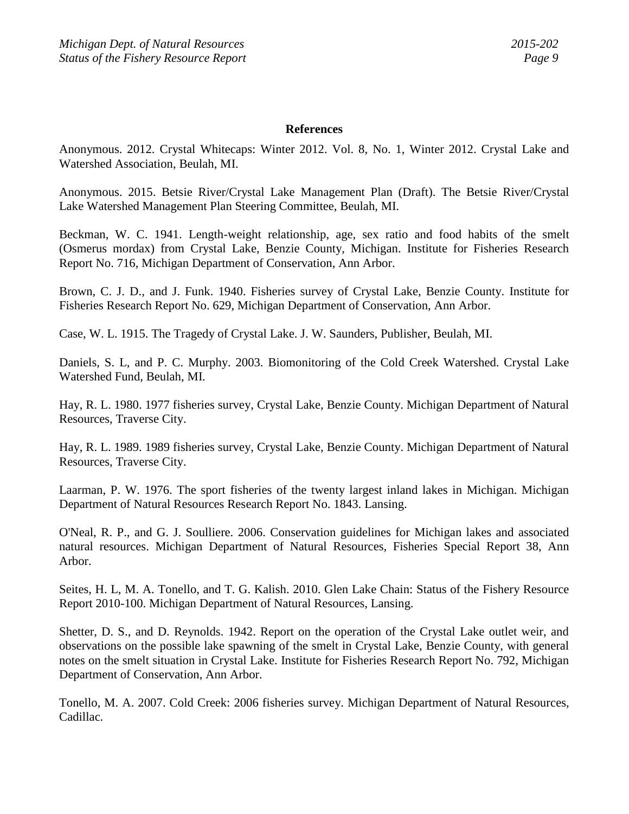#### **References**

Anonymous. 2012. Crystal Whitecaps: Winter 2012. Vol. 8, No. 1, Winter 2012. Crystal Lake and Watershed Association, Beulah, MI.

Anonymous. 2015. Betsie River/Crystal Lake Management Plan (Draft). The Betsie River/Crystal Lake Watershed Management Plan Steering Committee, Beulah, MI.

Beckman, W. C. 1941. Length-weight relationship, age, sex ratio and food habits of the smelt (Osmerus mordax) from Crystal Lake, Benzie County, Michigan. Institute for Fisheries Research Report No. 716, Michigan Department of Conservation, Ann Arbor.

Brown, C. J. D., and J. Funk. 1940. Fisheries survey of Crystal Lake, Benzie County. Institute for Fisheries Research Report No. 629, Michigan Department of Conservation, Ann Arbor.

Case, W. L. 1915. The Tragedy of Crystal Lake. J. W. Saunders, Publisher, Beulah, MI.

Daniels, S. L, and P. C. Murphy. 2003. Biomonitoring of the Cold Creek Watershed. Crystal Lake Watershed Fund, Beulah, MI.

Hay, R. L. 1980. 1977 fisheries survey, Crystal Lake, Benzie County. Michigan Department of Natural Resources, Traverse City.

Hay, R. L. 1989. 1989 fisheries survey, Crystal Lake, Benzie County. Michigan Department of Natural Resources, Traverse City.

Laarman, P. W. 1976. The sport fisheries of the twenty largest inland lakes in Michigan. Michigan Department of Natural Resources Research Report No. 1843. Lansing.

O'Neal, R. P., and G. J. Soulliere. 2006. Conservation guidelines for Michigan lakes and associated natural resources. Michigan Department of Natural Resources, Fisheries Special Report 38, Ann Arbor.

Seites, H. L, M. A. Tonello, and T. G. Kalish. 2010. Glen Lake Chain: Status of the Fishery Resource Report 2010-100. Michigan Department of Natural Resources, Lansing.

Shetter, D. S., and D. Reynolds. 1942. Report on the operation of the Crystal Lake outlet weir, and observations on the possible lake spawning of the smelt in Crystal Lake, Benzie County, with general notes on the smelt situation in Crystal Lake. Institute for Fisheries Research Report No. 792, Michigan Department of Conservation, Ann Arbor.

Tonello, M. A. 2007. Cold Creek: 2006 fisheries survey. Michigan Department of Natural Resources, Cadillac.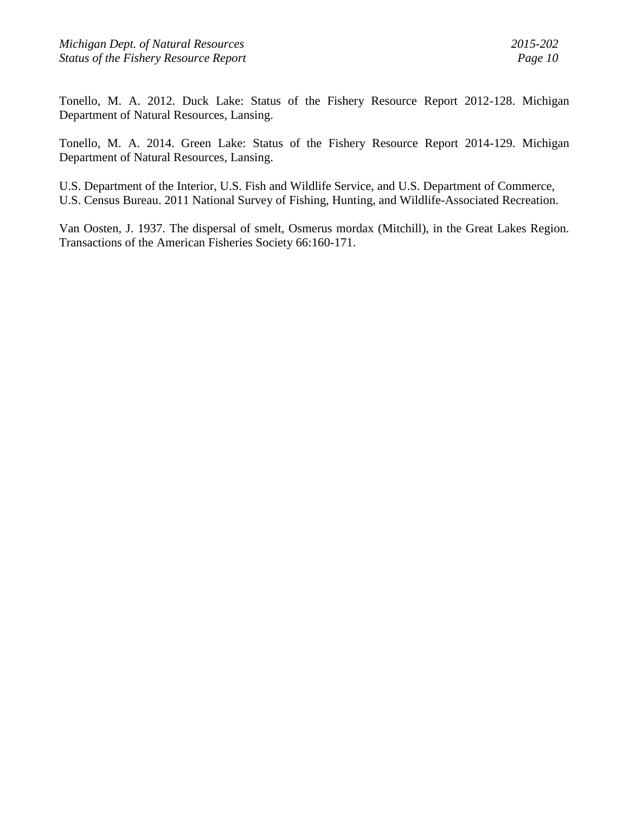Tonello, M. A. 2012. Duck Lake: Status of the Fishery Resource Report 2012-128. Michigan Department of Natural Resources, Lansing.

Tonello, M. A. 2014. Green Lake: Status of the Fishery Resource Report 2014-129. Michigan Department of Natural Resources, Lansing.

U.S. Department of the Interior, U.S. Fish and Wildlife Service, and U.S. Department of Commerce, U.S. Census Bureau. 2011 National Survey of Fishing, Hunting, and Wildlife-Associated Recreation.

Van Oosten, J. 1937. The dispersal of smelt, Osmerus mordax (Mitchill), in the Great Lakes Region. Transactions of the American Fisheries Society 66:160-171.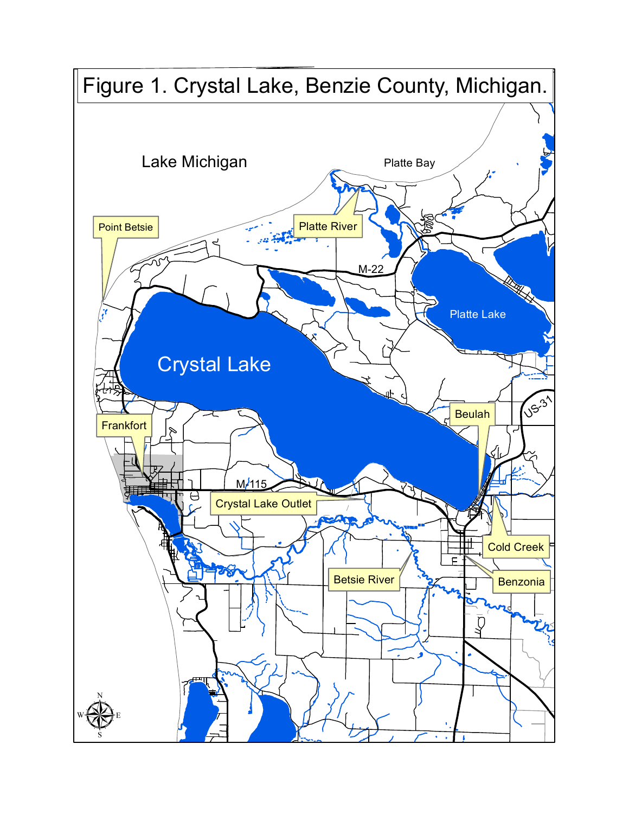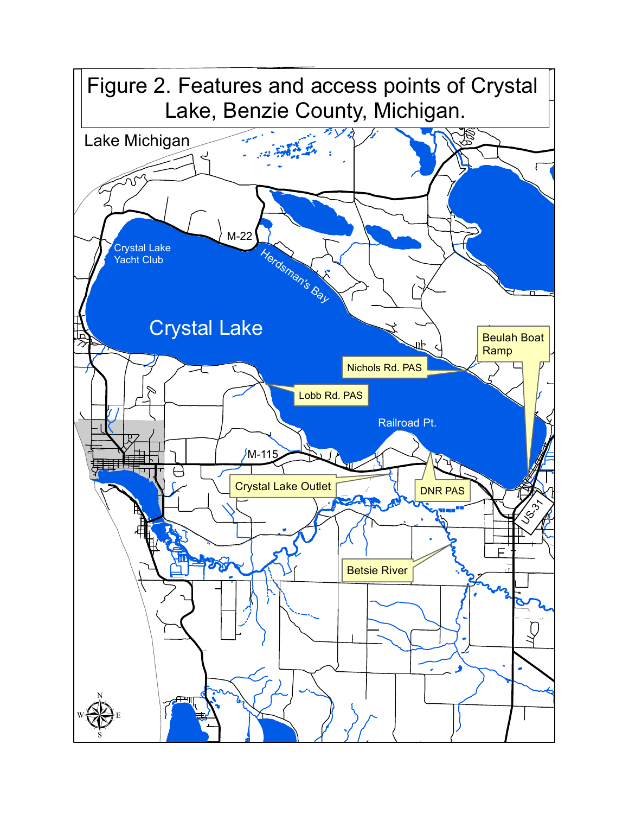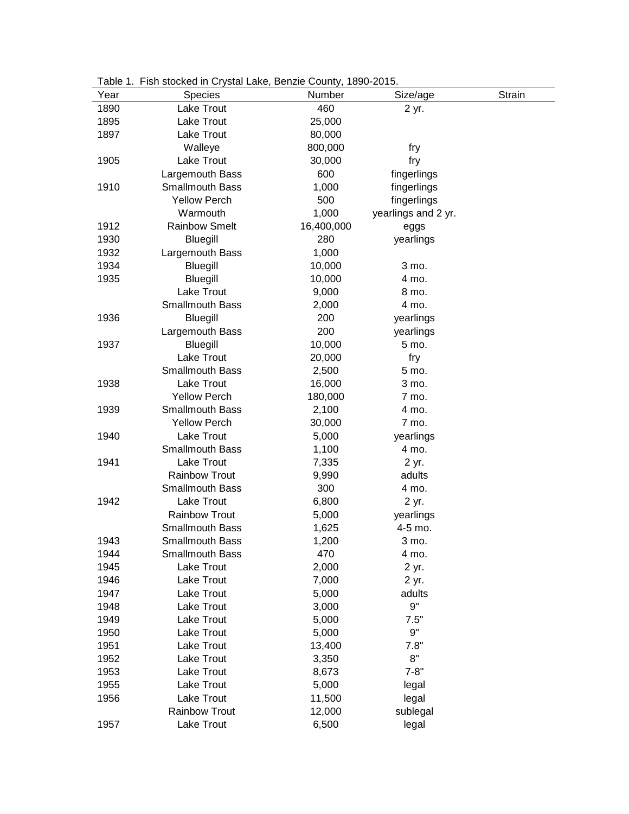| ravit i. | <b>I ISII SIUCKEU III CIJSIAI LAKE, DEIIZIE CUUIIII), TOSU-ZUTU.</b> |              |                     |        |
|----------|----------------------------------------------------------------------|--------------|---------------------|--------|
| Year     | Species                                                              | Number       | Size/age            | Strain |
| 1890     | Lake Trout                                                           | 460          | 2 yr.               |        |
| 1895     | Lake Trout                                                           | 25,000       |                     |        |
| 1897     | Lake Trout                                                           | 80,000       |                     |        |
|          | Walleye                                                              | 800,000      | fry                 |        |
| 1905     | Lake Trout                                                           | 30,000       | fry                 |        |
|          | Largemouth Bass                                                      | 600          | fingerlings         |        |
| 1910     | <b>Smallmouth Bass</b>                                               | 1,000        | fingerlings         |        |
|          | <b>Yellow Perch</b>                                                  | 500          | fingerlings         |        |
|          | Warmouth                                                             | 1,000        | yearlings and 2 yr. |        |
| 1912     | <b>Rainbow Smelt</b>                                                 | 16,400,000   | eggs                |        |
| 1930     | <b>Bluegill</b>                                                      | 280          | yearlings           |        |
| 1932     | Largemouth Bass                                                      | 1,000        |                     |        |
| 1934     | Bluegill                                                             | 10,000       | 3 mo.               |        |
| 1935     | <b>Bluegill</b>                                                      | 10,000       | 4 mo.               |        |
|          | Lake Trout                                                           | 9,000        | 8 mo.               |        |
|          | Smallmouth Bass                                                      | 2,000        | 4 mo.               |        |
| 1936     | <b>Bluegill</b>                                                      | 200          | yearlings           |        |
|          | Largemouth Bass                                                      | 200          | yearlings           |        |
| 1937     | <b>Bluegill</b>                                                      | 10,000       | 5 mo.               |        |
|          | Lake Trout                                                           | 20,000       | fry                 |        |
|          | <b>Smallmouth Bass</b>                                               | 2,500        | 5 mo.               |        |
| 1938     | <b>Lake Trout</b>                                                    | 16,000       | 3 mo.               |        |
|          | <b>Yellow Perch</b>                                                  | 180,000      | 7 mo.               |        |
| 1939     | <b>Smallmouth Bass</b>                                               | 2,100        | 4 mo.               |        |
|          | <b>Yellow Perch</b>                                                  | 30,000       | 7 mo.               |        |
| 1940     | Lake Trout                                                           | 5,000        | yearlings           |        |
|          | <b>Smallmouth Bass</b>                                               | 1,100        | 4 mo.               |        |
| 1941     | Lake Trout                                                           | 7,335        | 2 yr.               |        |
|          | <b>Rainbow Trout</b>                                                 | 9,990        | adults              |        |
|          | <b>Smallmouth Bass</b>                                               | 300          | 4 mo.               |        |
| 1942     | Lake Trout                                                           | 6,800        | 2 yr.               |        |
|          | <b>Rainbow Trout</b>                                                 | 5,000        | yearlings           |        |
|          | <b>Smallmouth Bass</b>                                               | 1,625        | 4-5 mo.             |        |
| 1943     | Smallmouth Bass                                                      |              | 3 mo.               |        |
| 1944     |                                                                      | 1,200<br>470 | 4 mo.               |        |
| 1945     | <b>Smallmouth Bass</b><br>Lake Trout                                 | 2,000        | 2 yr.               |        |
| 1946     | Lake Trout                                                           |              |                     |        |
| 1947     |                                                                      | 7,000        | 2 yr.               |        |
|          | Lake Trout                                                           | 5,000        | adults<br>9"        |        |
| 1948     | Lake Trout                                                           | 3,000        |                     |        |
| 1949     | Lake Trout                                                           | 5,000        | 7.5"<br>9"          |        |
| 1950     | Lake Trout                                                           | 5,000        | 7.8"                |        |
| 1951     | Lake Trout                                                           | 13,400       | 8"                  |        |
| 1952     | Lake Trout                                                           | 3,350        |                     |        |
| 1953     | Lake Trout                                                           | 8,673        | $7 - 8"$            |        |
| 1955     | Lake Trout                                                           | 5,000        | legal               |        |
| 1956     | Lake Trout                                                           | 11,500       | legal               |        |
|          | <b>Rainbow Trout</b>                                                 | 12,000       | sublegal            |        |
| 1957     | Lake Trout                                                           | 6,500        | legal               |        |

Table 1. Fish stocked in Crystal Lake, Benzie County, 1890-2015.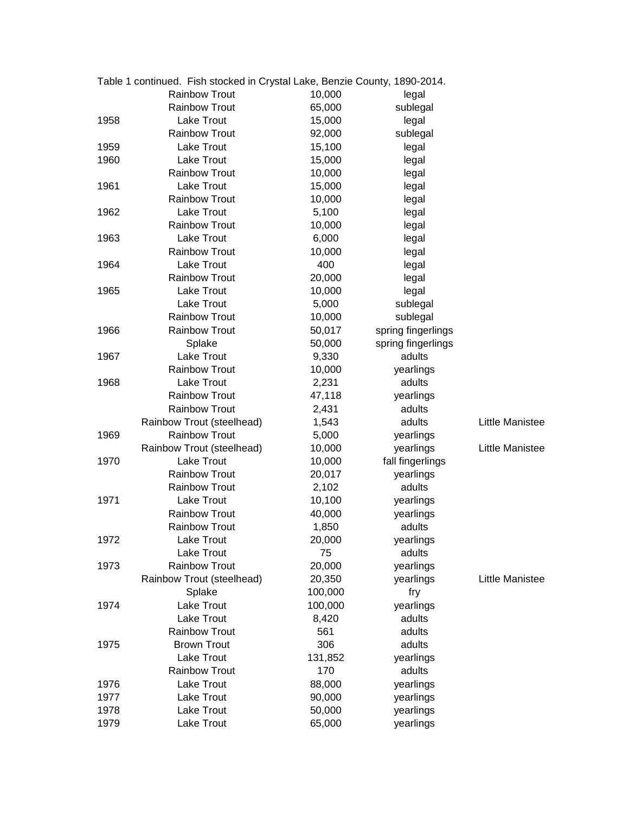|      | Table 1 continued. Fish stocked in Crystal Lake, Benzie County, 1890-2014. |         |                    |                 |
|------|----------------------------------------------------------------------------|---------|--------------------|-----------------|
|      | <b>Rainbow Trout</b>                                                       | 10,000  | legal              |                 |
|      | <b>Rainbow Trout</b>                                                       | 65,000  | sublegal           |                 |
| 1958 | Lake Trout                                                                 | 15,000  | legal              |                 |
|      | <b>Rainbow Trout</b>                                                       | 92,000  | sublegal           |                 |
| 1959 | Lake Trout                                                                 | 15,100  | legal              |                 |
| 1960 | Lake Trout                                                                 | 15,000  | legal              |                 |
|      | <b>Rainbow Trout</b>                                                       | 10,000  | legal              |                 |
| 1961 | Lake Trout                                                                 | 15,000  | legal              |                 |
|      | <b>Rainbow Trout</b>                                                       | 10,000  | legal              |                 |
| 1962 | Lake Trout                                                                 | 5,100   | legal              |                 |
|      | <b>Rainbow Trout</b>                                                       | 10,000  | legal              |                 |
| 1963 | Lake Trout                                                                 | 6,000   | legal              |                 |
|      | <b>Rainbow Trout</b>                                                       | 10,000  | legal              |                 |
| 1964 | Lake Trout                                                                 | 400     | legal              |                 |
|      | <b>Rainbow Trout</b>                                                       | 20,000  | legal              |                 |
| 1965 | Lake Trout                                                                 | 10,000  | legal              |                 |
|      | Lake Trout                                                                 | 5,000   | sublegal           |                 |
|      | <b>Rainbow Trout</b>                                                       | 10,000  | sublegal           |                 |
| 1966 | <b>Rainbow Trout</b>                                                       | 50,017  | spring fingerlings |                 |
|      | Splake                                                                     | 50,000  | spring fingerlings |                 |
| 1967 | Lake Trout                                                                 | 9,330   | adults             |                 |
|      | <b>Rainbow Trout</b>                                                       | 10,000  | yearlings          |                 |
| 1968 | Lake Trout                                                                 | 2,231   | adults             |                 |
|      | <b>Rainbow Trout</b>                                                       | 47,118  | yearlings          |                 |
|      | <b>Rainbow Trout</b>                                                       | 2,431   | adults             |                 |
|      | Rainbow Trout (steelhead)                                                  | 1,543   | adults             | Little Manistee |
| 1969 | <b>Rainbow Trout</b>                                                       | 5,000   | yearlings          |                 |
|      | Rainbow Trout (steelhead)                                                  | 10,000  | yearlings          | Little Manistee |
| 1970 | Lake Trout                                                                 | 10,000  | fall fingerlings   |                 |
|      | <b>Rainbow Trout</b>                                                       | 20,017  | yearlings          |                 |
|      | <b>Rainbow Trout</b>                                                       | 2,102   | adults             |                 |
| 1971 | Lake Trout                                                                 | 10,100  | yearlings          |                 |
|      | <b>Rainbow Trout</b>                                                       | 40,000  | yearlings          |                 |
|      | <b>Rainbow Trout</b>                                                       | 1,850   | adults             |                 |
| 1972 | Lake Trout                                                                 | 20,000  | yearlings          |                 |
|      | Lake Trout                                                                 | 75      | adults             |                 |
| 1973 | <b>Rainbow Trout</b>                                                       | 20,000  | yearlings          |                 |
|      | Rainbow Trout (steelhead)                                                  | 20,350  | yearlings          | Little Manistee |
|      | Splake                                                                     | 100,000 | fry                |                 |
| 1974 | <b>Lake Trout</b>                                                          | 100,000 | yearlings          |                 |
|      | Lake Trout                                                                 | 8,420   | adults             |                 |
|      | <b>Rainbow Trout</b>                                                       | 561     | adults             |                 |
| 1975 | <b>Brown Trout</b>                                                         | 306     | adults             |                 |
|      | Lake Trout                                                                 | 131,852 | yearlings          |                 |
|      | <b>Rainbow Trout</b>                                                       | 170     | adults             |                 |
| 1976 | Lake Trout                                                                 | 88,000  | yearlings          |                 |
| 1977 | Lake Trout                                                                 | 90,000  | yearlings          |                 |
| 1978 | Lake Trout                                                                 | 50,000  | yearlings          |                 |
| 1979 | Lake Trout                                                                 | 65,000  | yearlings          |                 |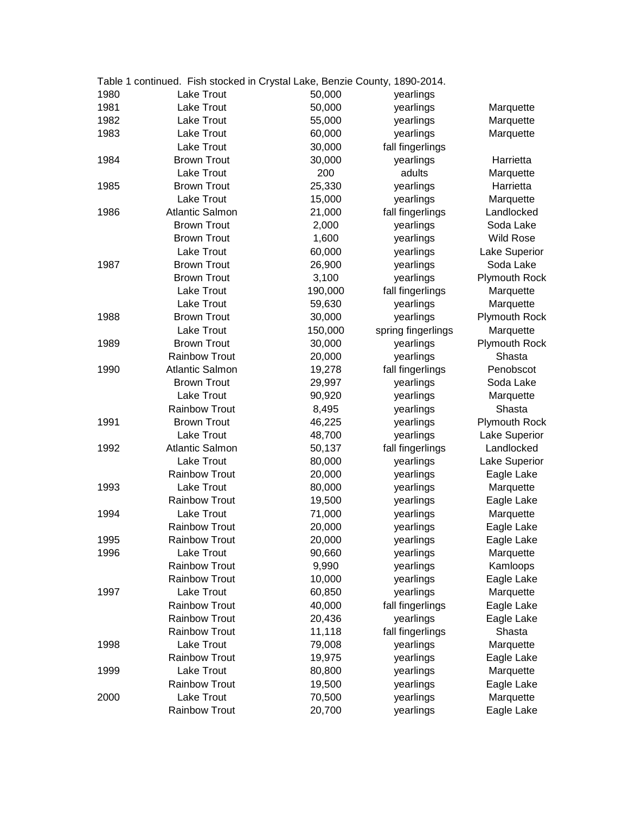|      | Table 1 continued. Fish stocked in Crystal Lake, Benzie County, 1890-2014. |         |                    |                      |
|------|----------------------------------------------------------------------------|---------|--------------------|----------------------|
| 1980 | Lake Trout                                                                 | 50,000  | yearlings          |                      |
| 1981 | Lake Trout                                                                 | 50,000  | yearlings          | Marquette            |
| 1982 | Lake Trout                                                                 | 55,000  | yearlings          | Marquette            |
| 1983 | Lake Trout                                                                 | 60,000  | yearlings          | Marquette            |
|      | Lake Trout                                                                 | 30,000  | fall fingerlings   |                      |
| 1984 | <b>Brown Trout</b>                                                         | 30,000  | yearlings          | Harrietta            |
|      | Lake Trout                                                                 | 200     | adults             | Marquette            |
| 1985 | <b>Brown Trout</b>                                                         | 25,330  | yearlings          | Harrietta            |
|      | Lake Trout                                                                 | 15,000  | yearlings          | Marquette            |
| 1986 | <b>Atlantic Salmon</b>                                                     | 21,000  | fall fingerlings   | Landlocked           |
|      | <b>Brown Trout</b>                                                         | 2,000   | yearlings          | Soda Lake            |
|      | <b>Brown Trout</b>                                                         | 1,600   | yearlings          | <b>Wild Rose</b>     |
|      | Lake Trout                                                                 | 60,000  | yearlings          | Lake Superior        |
| 1987 | <b>Brown Trout</b>                                                         | 26,900  | yearlings          | Soda Lake            |
|      | <b>Brown Trout</b>                                                         | 3,100   | yearlings          | <b>Plymouth Rock</b> |
|      | Lake Trout                                                                 | 190,000 | fall fingerlings   | Marquette            |
|      | Lake Trout                                                                 | 59,630  | yearlings          | Marquette            |
| 1988 | <b>Brown Trout</b>                                                         | 30,000  | yearlings          | <b>Plymouth Rock</b> |
|      | Lake Trout                                                                 | 150,000 | spring fingerlings | Marquette            |
| 1989 | <b>Brown Trout</b>                                                         | 30,000  | yearlings          | <b>Plymouth Rock</b> |
|      | <b>Rainbow Trout</b>                                                       | 20,000  | yearlings          | Shasta               |
| 1990 | <b>Atlantic Salmon</b>                                                     | 19,278  | fall fingerlings   | Penobscot            |
|      | <b>Brown Trout</b>                                                         | 29,997  | yearlings          | Soda Lake            |
|      | Lake Trout                                                                 | 90,920  | yearlings          | Marquette            |
|      | <b>Rainbow Trout</b>                                                       | 8,495   | yearlings          | Shasta               |
| 1991 | <b>Brown Trout</b>                                                         | 46,225  | yearlings          | <b>Plymouth Rock</b> |
|      | <b>Lake Trout</b>                                                          | 48,700  | yearlings          | Lake Superior        |
| 1992 | <b>Atlantic Salmon</b>                                                     | 50,137  | fall fingerlings   | Landlocked           |
|      | <b>Lake Trout</b>                                                          | 80,000  | yearlings          | Lake Superior        |
|      | <b>Rainbow Trout</b>                                                       | 20,000  | yearlings          | Eagle Lake           |
| 1993 | Lake Trout                                                                 | 80,000  | yearlings          | Marquette            |
|      | <b>Rainbow Trout</b>                                                       | 19,500  | yearlings          | Eagle Lake           |
| 1994 | <b>Lake Trout</b>                                                          | 71,000  | yearlings          | Marquette            |
|      | <b>Rainbow Trout</b>                                                       | 20,000  | yearlings          | Eagle Lake           |
| 1995 | Rainbow Trout                                                              | 20,000  | yearlings          | Eagle Lake           |
| 1996 | Lake Trout                                                                 | 90,660  | yearlings          | Marquette            |
|      | <b>Rainbow Trout</b>                                                       | 9,990   | yearlings          | Kamloops             |
|      | <b>Rainbow Trout</b>                                                       | 10,000  | yearlings          | Eagle Lake           |
| 1997 | Lake Trout                                                                 | 60,850  | yearlings          | Marquette            |
|      | <b>Rainbow Trout</b>                                                       | 40,000  | fall fingerlings   | Eagle Lake           |
|      | <b>Rainbow Trout</b>                                                       | 20,436  | yearlings          | Eagle Lake           |
|      | <b>Rainbow Trout</b>                                                       | 11,118  | fall fingerlings   | Shasta               |
| 1998 | Lake Trout                                                                 | 79,008  | yearlings          | Marquette            |
|      | <b>Rainbow Trout</b>                                                       | 19,975  | yearlings          | Eagle Lake           |
| 1999 | Lake Trout                                                                 | 80,800  | yearlings          | Marquette            |
|      | <b>Rainbow Trout</b>                                                       | 19,500  | yearlings          | Eagle Lake           |
| 2000 | Lake Trout                                                                 | 70,500  | yearlings          | Marquette            |
|      | <b>Rainbow Trout</b>                                                       | 20,700  | yearlings          | Eagle Lake           |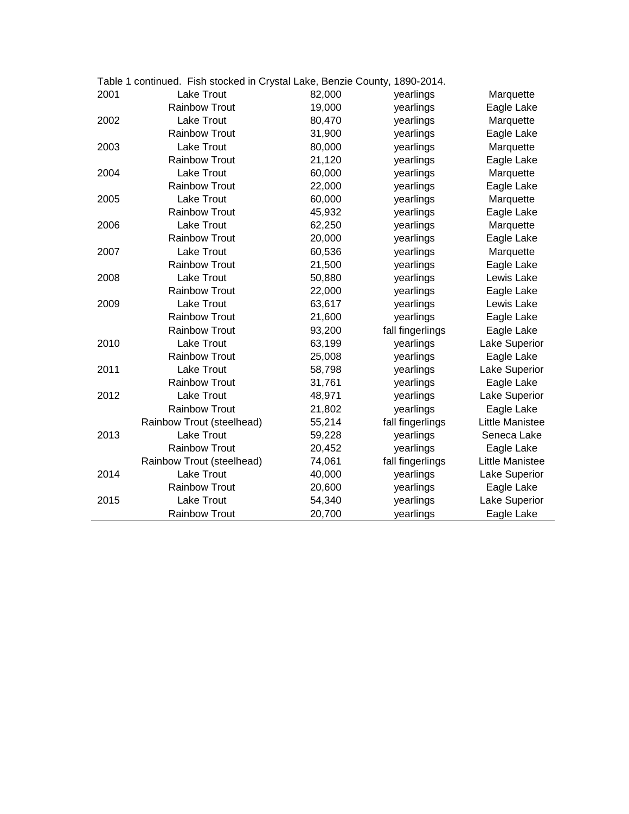|      | Table 1 continued. Fish stocked in Crystal Lake, Benzie County, 1890-2014. |        |                  |                        |
|------|----------------------------------------------------------------------------|--------|------------------|------------------------|
| 2001 | <b>Lake Trout</b>                                                          | 82,000 | yearlings        | Marquette              |
|      | <b>Rainbow Trout</b>                                                       | 19,000 | yearlings        | Eagle Lake             |
| 2002 | Lake Trout                                                                 | 80,470 | yearlings        | Marquette              |
|      | <b>Rainbow Trout</b>                                                       | 31,900 | yearlings        | Eagle Lake             |
| 2003 | Lake Trout                                                                 | 80,000 | yearlings        | Marquette              |
|      | <b>Rainbow Trout</b>                                                       | 21,120 | yearlings        | Eagle Lake             |
| 2004 | <b>Lake Trout</b>                                                          | 60,000 | yearlings        | Marquette              |
|      | <b>Rainbow Trout</b>                                                       | 22,000 | yearlings        | Eagle Lake             |
| 2005 | Lake Trout                                                                 | 60,000 | yearlings        | Marquette              |
|      | <b>Rainbow Trout</b>                                                       | 45,932 | yearlings        | Eagle Lake             |
| 2006 | Lake Trout                                                                 | 62,250 | yearlings        | Marquette              |
|      | <b>Rainbow Trout</b>                                                       | 20,000 | yearlings        | Eagle Lake             |
| 2007 | <b>Lake Trout</b>                                                          | 60,536 | yearlings        | Marquette              |
|      | <b>Rainbow Trout</b>                                                       | 21,500 | yearlings        | Eagle Lake             |
| 2008 | Lake Trout                                                                 | 50,880 | yearlings        | Lewis Lake             |
|      | <b>Rainbow Trout</b>                                                       | 22,000 | yearlings        | Eagle Lake             |
| 2009 | Lake Trout                                                                 | 63,617 | yearlings        | Lewis Lake             |
|      | <b>Rainbow Trout</b>                                                       | 21,600 | yearlings        | Eagle Lake             |
|      | <b>Rainbow Trout</b>                                                       | 93,200 | fall fingerlings | Eagle Lake             |
| 2010 | Lake Trout                                                                 | 63,199 | yearlings        | Lake Superior          |
|      | <b>Rainbow Trout</b>                                                       | 25,008 | yearlings        | Eagle Lake             |
| 2011 | Lake Trout                                                                 | 58,798 | yearlings        | Lake Superior          |
|      | <b>Rainbow Trout</b>                                                       | 31,761 | yearlings        | Eagle Lake             |
| 2012 | <b>Lake Trout</b>                                                          | 48,971 | yearlings        | Lake Superior          |
|      | <b>Rainbow Trout</b>                                                       | 21,802 | yearlings        | Eagle Lake             |
|      | Rainbow Trout (steelhead)                                                  | 55,214 | fall fingerlings | <b>Little Manistee</b> |
| 2013 | Lake Trout                                                                 | 59,228 | yearlings        | Seneca Lake            |
|      | <b>Rainbow Trout</b>                                                       | 20,452 | yearlings        | Eagle Lake             |
|      | Rainbow Trout (steelhead)                                                  | 74,061 | fall fingerlings | Little Manistee        |
| 2014 | <b>Lake Trout</b>                                                          | 40,000 | yearlings        | Lake Superior          |
|      | Rainbow Trout                                                              | 20,600 | yearlings        | Eagle Lake             |
| 2015 | Lake Trout                                                                 | 54,340 | yearlings        | Lake Superior          |
|      | <b>Rainbow Trout</b>                                                       | 20,700 | yearlings        | Eagle Lake             |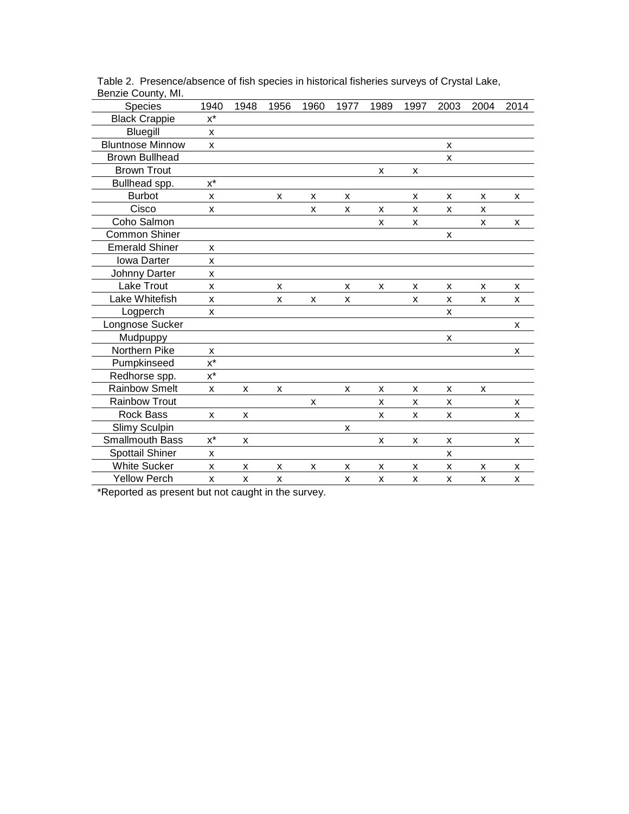| Species                 | 1940                 | 1948 | 1956 | 1960 | 1977 | 1989 | 1997 | 2003 | 2004 | 2014 |
|-------------------------|----------------------|------|------|------|------|------|------|------|------|------|
| <b>Black Crappie</b>    | $x^*$                |      |      |      |      |      |      |      |      |      |
| Bluegill                | X                    |      |      |      |      |      |      |      |      |      |
| <b>Bluntnose Minnow</b> | X                    |      |      |      |      |      |      | X    |      |      |
| <b>Brown Bullhead</b>   |                      |      |      |      |      |      |      | X    |      |      |
| <b>Brown Trout</b>      |                      |      |      |      |      | X    | X    |      |      |      |
| Bullhead spp.           | $x^*$                |      |      |      |      |      |      |      |      |      |
| <b>Burbot</b>           | X                    |      | X    | X    | X    |      | X    | X    | X    | X    |
| Cisco                   | X                    |      |      | x    | X    | X    | X    | X    | X    |      |
| Coho Salmon             |                      |      |      |      |      | X    | X    |      | X    | X    |
| <b>Common Shiner</b>    |                      |      |      |      |      |      |      | X    |      |      |
| <b>Emerald Shiner</b>   | X                    |      |      |      |      |      |      |      |      |      |
| <b>Iowa Darter</b>      | X                    |      |      |      |      |      |      |      |      |      |
| Johnny Darter           | X                    |      |      |      |      |      |      |      |      |      |
| <b>Lake Trout</b>       | X                    |      | X    |      | X    | X    | X    | X    | X    | X    |
| Lake Whitefish          | X                    |      | X    | X    | X    |      | X    | X    | X    | X    |
| Logperch                | X                    |      |      |      |      |      |      | X    |      |      |
| Longnose Sucker         |                      |      |      |      |      |      |      |      |      | X    |
| Mudpuppy                |                      |      |      |      |      |      |      | X    |      |      |
| Northern Pike           | X                    |      |      |      |      |      |      |      |      | X    |
| Pumpkinseed             | $x^*$                |      |      |      |      |      |      |      |      |      |
| Redhorse spp.           | $\mathsf{x}^{\star}$ |      |      |      |      |      |      |      |      |      |
| <b>Rainbow Smelt</b>    | X                    | X    | X    |      | X    | X    | X    | X    | X    |      |
| <b>Rainbow Trout</b>    |                      |      |      | x    |      | X    | X    | X    |      | X    |
| <b>Rock Bass</b>        | X                    | X    |      |      |      | x    | X    | X    |      | X    |
| Slimy Sculpin           |                      |      |      |      | X    |      |      |      |      |      |
| Smallmouth Bass         | $x^*$                | X    |      |      |      | X    | X    | X    |      | X    |
| Spottail Shiner         | X                    |      |      |      |      |      |      | X    |      |      |
| <b>White Sucker</b>     | X                    | X    | X    | X    | x    | X    | X    | X    | X    | X    |
| <b>Yellow Perch</b>     | X                    | X    | X    |      | X    | X    | X    | X    | X    | X    |

Table 2. Presence/absence of fish species in historical fisheries surveys of Crystal Lake, Benzie County, MI.

\*Reported as present but not caught in the survey.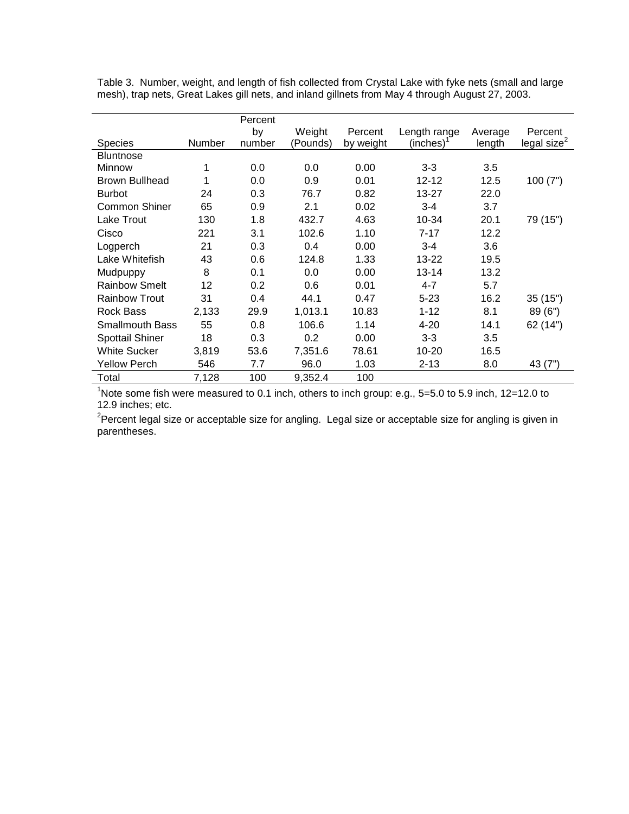Table 3. Number, weight, and length of fish collected from Crystal Lake with fyke nets (small and large mesh), trap nets, Great Lakes gill nets, and inland gillnets from May 4 through August 27, 2003.

|                        |        | Percent |          |           |              |         |                 |
|------------------------|--------|---------|----------|-----------|--------------|---------|-----------------|
|                        |        | by      | Weight   | Percent   | Length range | Average | Percent         |
| <b>Species</b>         | Number | number  | (Pounds) | by weight | $(inches)^1$ | length  | legal size $^2$ |
| <b>Bluntnose</b>       |        |         |          |           |              |         |                 |
| Minnow                 | 1      | 0.0     | 0.0      | 0.00      | $3 - 3$      | 3.5     |                 |
| <b>Brown Bullhead</b>  |        | 0.0     | 0.9      | 0.01      | $12 - 12$    | 12.5    | 100(7")         |
| <b>Burbot</b>          | 24     | 0.3     | 76.7     | 0.82      | 13-27        | 22.0    |                 |
| <b>Common Shiner</b>   | 65     | 0.9     | 2.1      | 0.02      | $3 - 4$      | 3.7     |                 |
| Lake Trout             | 130    | 1.8     | 432.7    | 4.63      | 10-34        | 20.1    | 79 (15")        |
| Cisco                  | 221    | 3.1     | 102.6    | 1.10      | $7 - 17$     | 12.2    |                 |
| Logperch               | 21     | 0.3     | 0.4      | 0.00      | $3 - 4$      | 3.6     |                 |
| Lake Whitefish         | 43     | 0.6     | 124.8    | 1.33      | 13-22        | 19.5    |                 |
| Mudpuppy               | 8      | 0.1     | 0.0      | 0.00      | $13 - 14$    | 13.2    |                 |
| <b>Rainbow Smelt</b>   | 12     | 0.2     | 0.6      | 0.01      | $4 - 7$      | 5.7     |                 |
| <b>Rainbow Trout</b>   | 31     | 0.4     | 44.1     | 0.47      | $5 - 23$     | 16.2    | 35(15")         |
| <b>Rock Bass</b>       | 2,133  | 29.9    | 1,013.1  | 10.83     | $1 - 12$     | 8.1     | 89(6")          |
| <b>Smallmouth Bass</b> | 55     | 0.8     | 106.6    | 1.14      | $4 - 20$     | 14.1    | 62 (14")        |
| <b>Spottail Shiner</b> | 18     | 0.3     | 0.2      | 0.00      | $3 - 3$      | 3.5     |                 |
| <b>White Sucker</b>    | 3,819  | 53.6    | 7,351.6  | 78.61     | 10-20        | 16.5    |                 |
| <b>Yellow Perch</b>    | 546    | 7.7     | 96.0     | 1.03      | $2 - 13$     | 8.0     | 43 (7")         |
| Total                  | 7,128  | 100     | 9,352.4  | 100       |              |         |                 |

<sup>1</sup>Note some fish were measured to 0.1 inch, others to inch group: e.g., 5=5.0 to 5.9 inch, 12=12.0 to 12.9 inches; etc.

<sup>2</sup>Percent legal size or acceptable size for angling. Legal size or acceptable size for angling is given in parentheses.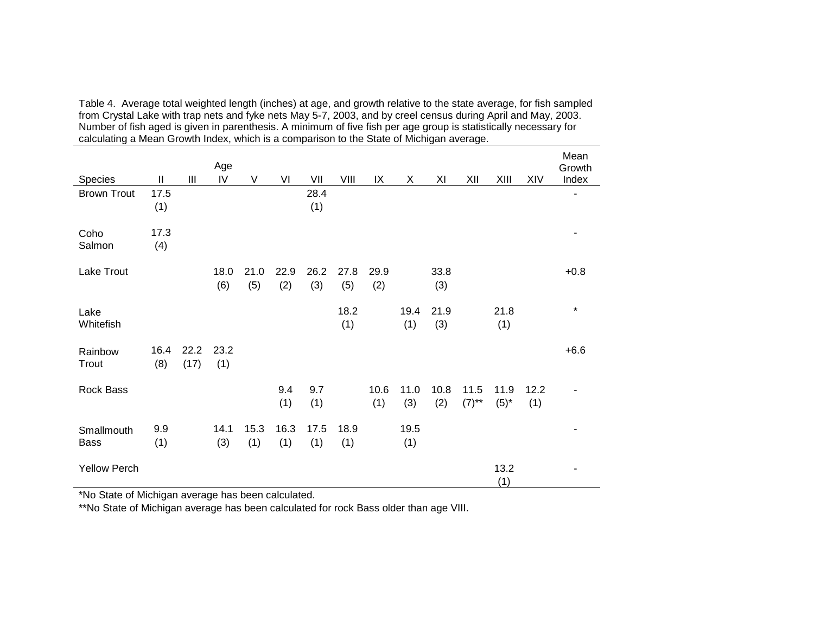| calculating a Mean Growth Index, which is a comparison to the State of Michigan average. |             |              |             |             |             |             |             |             |             |             |                  |                   |             |                         |
|------------------------------------------------------------------------------------------|-------------|--------------|-------------|-------------|-------------|-------------|-------------|-------------|-------------|-------------|------------------|-------------------|-------------|-------------------------|
| Species                                                                                  | Ш           | Ш            | Age<br>IV   | V           | VI          | VII         | VIII        | IX          | X           | ΧI          | XII              | XIII              | XIV         | Mean<br>Growth<br>Index |
| <b>Brown Trout</b>                                                                       | 17.5<br>(1) |              |             |             |             | 28.4<br>(1) |             |             |             |             |                  |                   |             |                         |
| Coho<br>Salmon                                                                           | 17.3<br>(4) |              |             |             |             |             |             |             |             |             |                  |                   |             |                         |
| Lake Trout                                                                               |             |              | 18.0<br>(6) | 21.0<br>(5) | 22.9<br>(2) | 26.2<br>(3) | 27.8<br>(5) | 29.9<br>(2) |             | 33.8<br>(3) |                  |                   |             | $+0.8$                  |
| Lake<br>Whitefish                                                                        |             |              |             |             |             |             | 18.2<br>(1) |             | 19.4<br>(1) | 21.9<br>(3) |                  | 21.8<br>(1)       |             | $\star$                 |
| Rainbow<br>Trout                                                                         | 16.4<br>(8) | 22.2<br>(17) | 23.2<br>(1) |             |             |             |             |             |             |             |                  |                   |             | $+6.6$                  |
| Rock Bass                                                                                |             |              |             |             | 9.4<br>(1)  | 9.7<br>(1)  |             | 10.6<br>(1) | 11.0<br>(3) | 10.8<br>(2) | 11.5<br>$(7)$ ** | 11.9<br>$(5)^{*}$ | 12.2<br>(1) | ۰                       |
| Smallmouth<br>Bass                                                                       | 9.9<br>(1)  |              | 14.1<br>(3) | 15.3<br>(1) | 16.3<br>(1) | 17.5<br>(1) | 18.9<br>(1) |             | 19.5<br>(1) |             |                  |                   |             |                         |
| <b>Yellow Perch</b>                                                                      |             |              |             |             |             |             |             |             |             |             |                  | 13.2<br>(1)       |             |                         |

Table 4. Average total weighted length (inches) at age, and growth relative to the state average, for fish sampled<br>from Crystal Lake with trap nets and fyke nets May 5-7, 2003, and by creel census during April and May, 20

\*No State of Michigan average has been calculated.

\*\*No State of Michigan average has been calculated for rock Bass older than age VIII.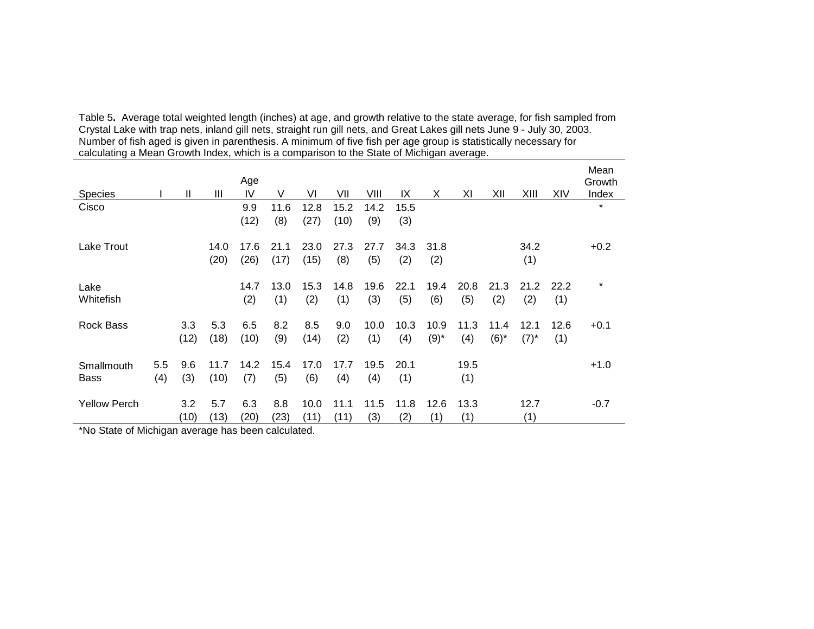| <b>Species</b>      |     | Ш    | Ш    | Age<br>IV | V    | VI   | VII  | VIII | IX   | X         | ΧI   | XII     | XIII    | XIV  | Mean<br>Growth<br>Index |
|---------------------|-----|------|------|-----------|------|------|------|------|------|-----------|------|---------|---------|------|-------------------------|
| Cisco               |     |      |      |           |      |      |      |      |      |           |      |         |         |      | $\star$                 |
|                     |     |      |      | 9.9       | 11.6 | 12.8 | 15.2 | 14.2 | 15.5 |           |      |         |         |      |                         |
|                     |     |      |      | (12)      | (8)  | (27) | (10) | (9)  | (3)  |           |      |         |         |      |                         |
| Lake Trout          |     |      | 14.0 | 17.6      | 21.1 | 23.0 | 27.3 | 27.7 | 34.3 | 31.8      |      |         | 34.2    |      | $+0.2$                  |
|                     |     |      | (20) | (26)      | (17) | (15) | (8)  | (5)  | (2)  | (2)       |      |         | (1)     |      |                         |
|                     |     |      |      |           |      |      |      |      |      |           |      |         |         |      |                         |
| Lake                |     |      |      | 14.7      | 13.0 | 15.3 | 14.8 | 19.6 | 22.1 | 19.4      | 20.8 | 21.3    | 21.2    | 22.2 | $\star$                 |
| Whitefish           |     |      |      | (2)       | (1)  | (2)  | (1)  | (3)  | (5)  | (6)       | (5)  | (2)     | (2)     | (1)  |                         |
|                     |     |      |      |           |      |      |      |      |      |           |      |         |         |      |                         |
| <b>Rock Bass</b>    |     | 3.3  | 5.3  | 6.5       | 8.2  | 8.5  | 9.0  | 10.0 | 10.3 | 10.9      | 11.3 | 11.4    | 12.1    | 12.6 | $+0.1$                  |
|                     |     | (12) | (18) | (10)      | (9)  | (14) | (2)  | (1)  | (4)  | $(9)^{*}$ | (4)  | $(6)^*$ | $(7)^*$ | (1)  |                         |
|                     |     |      |      |           |      |      |      |      |      |           |      |         |         |      |                         |
| Smallmouth          | 5.5 | 9.6  | 11.7 | 14.2      | 15.4 | 17.0 | 17.7 | 19.5 | 20.1 |           | 19.5 |         |         |      | $+1.0$                  |
| <b>Bass</b>         | (4) | (3)  | (10) | (7)       | (5)  | (6)  | (4)  | (4)  | (1)  |           | (1)  |         |         |      |                         |
|                     |     |      |      |           |      |      |      |      |      |           |      |         |         |      |                         |
| <b>Yellow Perch</b> |     | 3.2  | 5.7  | 6.3       | 8.8  | 10.0 | 11.1 | 11.5 | 11.8 | 12.6      | 13.3 |         | 12.7    |      | $-0.7$                  |
|                     |     | (10) | (13) | (20)      | (23) | (11) | (11) | (3)  | (2)  | (1)       | (1)  |         | (1)     |      |                         |

Table 5. Average total weighted length (inches) at age, and growth relative to the state average, for fish sampled from<br>Crystal Lake with trap nets, inland gill nets, straight run gill nets, and Great Lakes gill nets June

\*No State of Michigan average has been calculated.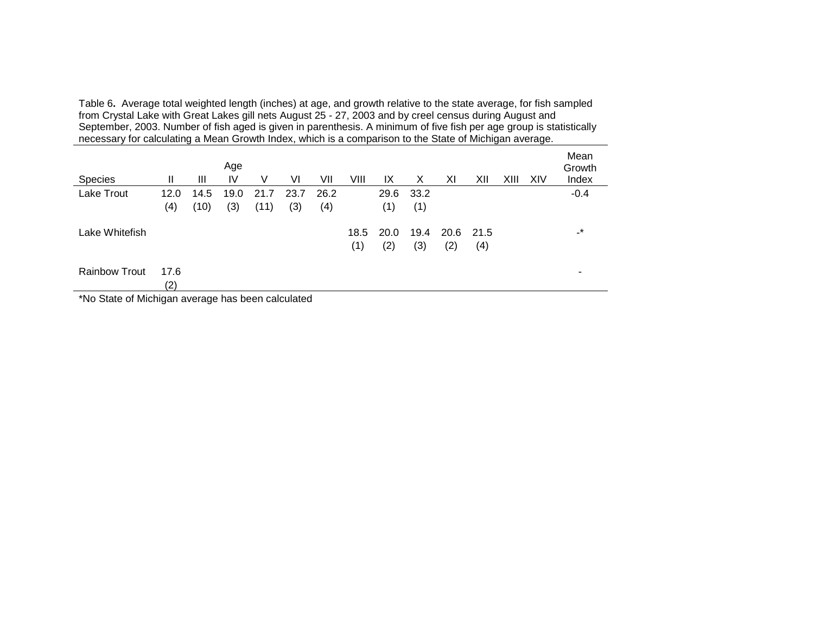Table 6. Average total weighted length (inches) at age, and growth relative to the state average, for fish sampled<br>from Crystal Lake with Great Lakes gill nets August 25 - 27, 2003 and by creel census during August and<br>Sep

|                      |             |      | Age  |      |      |      |             |             |             |                  |     |      |     | Mean<br>Growth |
|----------------------|-------------|------|------|------|------|------|-------------|-------------|-------------|------------------|-----|------|-----|----------------|
| <b>Species</b>       | Ш           | Ш    | IV   | V    | VI   | VII  | VIII        | IX          | Х           | XI               | XII | XIII | XIV | Index          |
| Lake Trout           | 12.0        | 14.5 | 19.0 | 21.7 | 23.7 | 26.2 |             | 29.6        | 33.2        |                  |     |      |     | $-0.4$         |
|                      | (4)         | (10) | (3)  | (11) | (3)  | (4)  |             | (1)         | (1)         |                  |     |      |     |                |
| Lake Whitefish       |             |      |      |      |      |      | 18.5<br>(1) | 20.0<br>(2) | 19.4<br>(3) | 20.6 21.5<br>(2) | (4) |      |     | $\mathbf{r}$   |
| <b>Rainbow Trout</b> | 17.6<br>(2) |      |      |      |      |      |             |             |             |                  |     |      |     |                |

\*No State of Michigan average has been calculated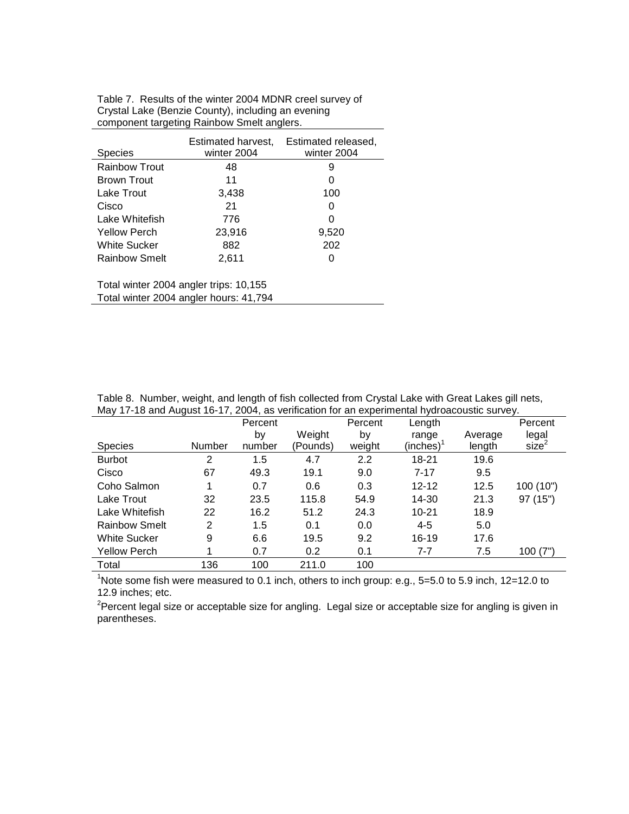|                                        | Estimated harvest,                     | Estimated released, |  |  |  |  |  |  |  |  |
|----------------------------------------|----------------------------------------|---------------------|--|--|--|--|--|--|--|--|
| Species                                | winter 2004                            | winter 2004         |  |  |  |  |  |  |  |  |
| <b>Rainbow Trout</b>                   | 48                                     | 9                   |  |  |  |  |  |  |  |  |
| Brown Trout                            | 11                                     | 0                   |  |  |  |  |  |  |  |  |
| Lake Trout                             | 3,438                                  | 100                 |  |  |  |  |  |  |  |  |
| Cisco                                  | 21                                     | O                   |  |  |  |  |  |  |  |  |
| Lake Whitefish                         | 776                                    | O                   |  |  |  |  |  |  |  |  |
| <b>Yellow Perch</b>                    | 23,916                                 | 9,520               |  |  |  |  |  |  |  |  |
| White Sucker                           | 882                                    | 202                 |  |  |  |  |  |  |  |  |
| Rainbow Smelt                          | 2,611                                  |                     |  |  |  |  |  |  |  |  |
|                                        |                                        |                     |  |  |  |  |  |  |  |  |
|                                        | Total winter 2004 angler trips: 10,155 |                     |  |  |  |  |  |  |  |  |
| Total winter 2004 angler hours: 41,794 |                                        |                     |  |  |  |  |  |  |  |  |

Table 7. Results of the winter 2004 MDNR creel survey of Crystal Lake (Benzie County), including an evening component targeting Rainbow Smelt anglers.

Table 8.Number, weight, and length of fish collected from Crystal Lake with Great Lakes gill nets, May 17-18 and August 16-17, 2004, as verification for an experimental hydroacoustic survey.

|                      |               | Percent |          | Percent | Length    |         | Percent   |
|----------------------|---------------|---------|----------|---------|-----------|---------|-----------|
|                      |               | by      | Weight   | by      | range     | Average | legal     |
| <b>Species</b>       | <b>Number</b> | number  | (Pounds) | weight  | (inches)  | length  | size      |
| <b>Burbot</b>        | 2             | 1.5     | 4.7      | 2.2     | 18-21     | 19.6    |           |
| Cisco                | 67            | 49.3    | 19.1     | 9.0     | $7 - 17$  | 9.5     |           |
| Coho Salmon          | 1             | 0.7     | 0.6      | 0.3     | $12 - 12$ | 12.5    | 100 (10") |
| Lake Trout           | 32            | 23.5    | 115.8    | 54.9    | 14-30     | 21.3    | 97 (15")  |
| Lake Whitefish       | 22            | 16.2    | 51.2     | 24.3    | $10 - 21$ | 18.9    |           |
| <b>Rainbow Smelt</b> | 2             | 1.5     | 0.1      | 0.0     | $4 - 5$   | 5.0     |           |
| <b>White Sucker</b>  | 9             | 6.6     | 19.5     | 9.2     | $16 - 19$ | 17.6    |           |
| <b>Yellow Perch</b>  |               | 0.7     | 0.2      | 0.1     | 7-7       | 7.5     | 100(7")   |
| Total                | 136           | 100     | 211.0    | 100     |           |         |           |

<sup>1</sup>Note some fish were measured to 0.1 inch, others to inch group: e.g., 5=5.0 to 5.9 inch, 12=12.0 to 12.9 inches; etc.

<sup>2</sup>Percent legal size or acceptable size for angling. Legal size or acceptable size for angling is given in parentheses.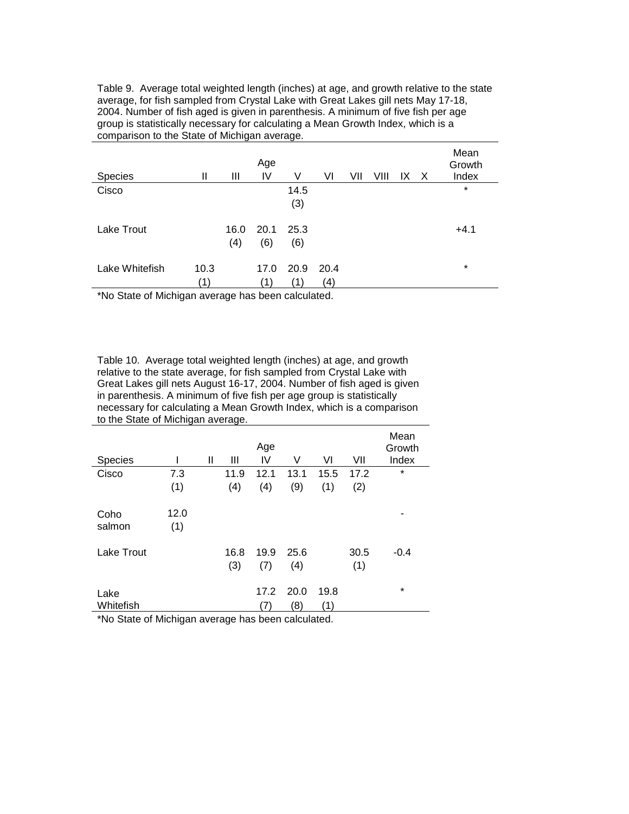Table 9. Average total weighted length (inches) at age, and growth relative to the state average, for fish sampled from Crystal Lake with Great Lakes gill nets May 17-18, 2004. Number of fish aged is given in parenthesis. A minimum of five fish per age group is statistically necessary for calculating a Mean Growth Index, which is a comparison to the State of Michigan average.

| Species        | Ш           | Ш           | Age<br>IV   | V           | VI          | VII | VIII | IX. | X | Mean<br>Growth<br>Index |
|----------------|-------------|-------------|-------------|-------------|-------------|-----|------|-----|---|-------------------------|
| Cisco          |             |             |             | 14.5<br>(3) |             |     |      |     |   | $\star$                 |
| Lake Trout     |             | 16.0<br>(4) | 20.1<br>(6) | 25.3<br>(6) |             |     |      |     |   | $+4.1$                  |
| Lake Whitefish | 10.3<br>ั1) |             | 17.0<br>(1) | 20.9<br>(1) | 20.4<br>(4) |     |      |     |   | $\star$                 |

\*No State of Michigan average has been calculated.

Table 10.Average total weighted length (inches) at age, and growth relative to the state average, for fish sampled from Crystal Lake with Great Lakes gill nets August 16-17, 2004. Number of fish aged is given in parenthesis. A minimum of five fish per age group is statistically necessary for calculating a Mean Growth Index, which is a comparison to the State of Michigan average.

|                   |             |   |             | Age         |             |             |             | Mean<br>Growth |
|-------------------|-------------|---|-------------|-------------|-------------|-------------|-------------|----------------|
| Species           |             | Ш | Ш           | IV          | V           | VI          | VII         | Index          |
| Cisco             | 7.3         |   | 11.9        | 12.1        | 13.1        | 15.5        | 17.2        | $\star$        |
|                   | (1)         |   | (4)         | (4)         | (9)         | (1)         | (2)         |                |
| Coho<br>salmon    | 12.0<br>(1) |   |             |             |             |             |             |                |
| Lake Trout        |             |   | 16.8<br>(3) | 19.9<br>(7) | 25.6<br>(4) |             | 30.5<br>(1) | $-0.4$         |
| Lake<br>Whitefish |             |   |             | 17.2<br>7)  | 20.0<br>(8) | 19.8<br>(1) |             | $\star$        |

\*No State of Michigan average has been calculated.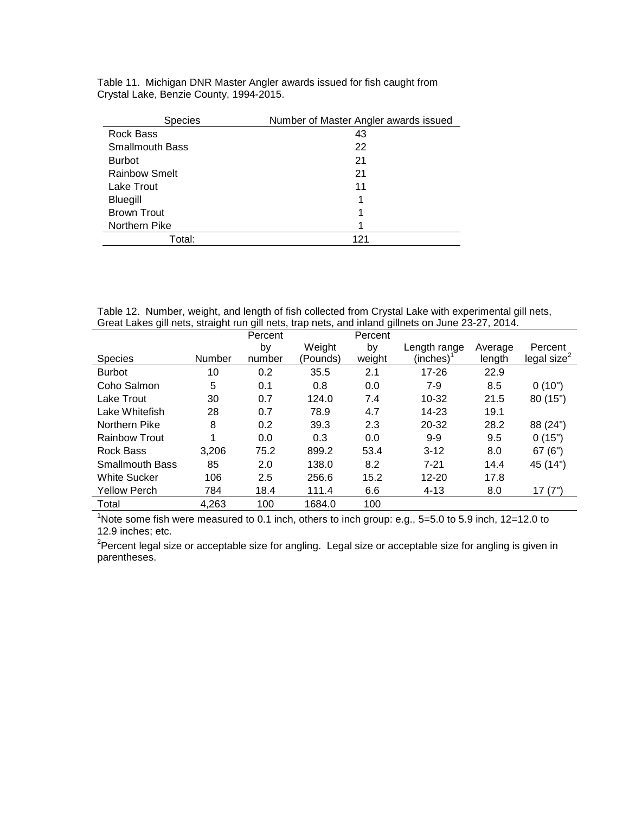Table 11. Michigan DNR Master Angler awards issued for fish caught from Crystal Lake, Benzie County, 1994-2015.

| <b>Species</b>         | Number of Master Angler awards issued |
|------------------------|---------------------------------------|
| Rock Bass              | 43                                    |
| <b>Smallmouth Bass</b> | 22                                    |
| <b>Burbot</b>          | 21                                    |
| <b>Rainbow Smelt</b>   | 21                                    |
| Lake Trout             | 11                                    |
| Bluegill               |                                       |
| <b>Brown Trout</b>     |                                       |
| Northern Pike          |                                       |
| Total:                 | 121                                   |

Table 12. Number, weight, and length of fish collected from Crystal Lake with experimental gill nets, Great Lakes gill nets, straight run gill nets, trap nets, and inland gillnets on June 23-27, 2014.

|                        |               | Percent |          | Percent |              |         |                |
|------------------------|---------------|---------|----------|---------|--------------|---------|----------------|
|                        |               | by      | Weight   | by      | Length range | Average | Percent        |
| <b>Species</b>         | <b>Number</b> | number  | (Pounds) | weight  | (inches)     | length  | legal size $2$ |
| <b>Burbot</b>          | 10            | 0.2     | 35.5     | 2.1     | $17 - 26$    | 22.9    |                |
| Coho Salmon            | 5             | 0.1     | 0.8      | 0.0     | $7-9$        | 8.5     | 0(10")         |
| Lake Trout             | 30            | 0.7     | 124.0    | 7.4     | $10 - 32$    | 21.5    | 80 (15")       |
| Lake Whitefish         | 28            | 0.7     | 78.9     | 4.7     | 14-23        | 19.1    |                |
| Northern Pike          | 8             | 0.2     | 39.3     | 2.3     | 20-32        | 28.2    | 88 (24")       |
| <b>Rainbow Trout</b>   | 4             | 0.0     | 0.3      | 0.0     | $9-9$        | 9.5     | 0(15")         |
| Rock Bass              | 3,206         | 75.2    | 899.2    | 53.4    | $3-12$       | 8.0     | 67(6")         |
| <b>Smallmouth Bass</b> | 85            | 2.0     | 138.0    | 8.2     | $7 - 21$     | 14.4    | 45 (14")       |
| <b>White Sucker</b>    | 106           | 2.5     | 256.6    | 15.2    | $12 - 20$    | 17.8    |                |
| <b>Yellow Perch</b>    | 784           | 18.4    | 111.4    | 6.6     | $4 - 13$     | 8.0     | 17(7")         |
| Total                  | 4,263         | 100     | 1684.0   | 100     |              |         |                |

 $1$ Note some fish were measured to 0.1 inch, others to inch group: e.g., 5=5.0 to 5.9 inch, 12=12.0 to 12.9 inches; etc.

<sup>2</sup>Percent legal size or acceptable size for angling. Legal size or acceptable size for angling is given in parentheses.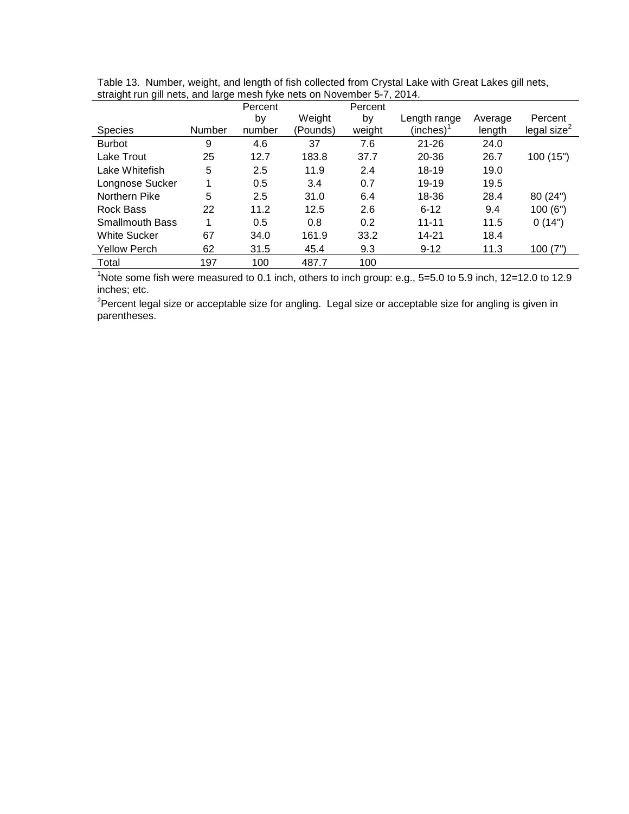| ີ<br>ີ                 | ◡      |         |          |         |              |         |                |
|------------------------|--------|---------|----------|---------|--------------|---------|----------------|
|                        |        | Percent |          | Percent |              |         |                |
|                        |        | by      | Weight   | by      | Length range | Average | Percent        |
| Species                | Number | number  | (Pounds) | weight  | (inches)     | length  | legal size $2$ |
| <b>Burbot</b>          | 9      | 4.6     | 37       | 7.6     | $21 - 26$    | 24.0    |                |
| Lake Trout             | 25     | 12.7    | 183.8    | 37.7    | $20 - 36$    | 26.7    | 100 (15")      |
| Lake Whitefish         | 5      | 2.5     | 11.9     | 2.4     | $18 - 19$    | 19.0    |                |
| Longnose Sucker        |        | 0.5     | 3.4      | 0.7     | 19-19        | 19.5    |                |
| Northern Pike          | 5      | 2.5     | 31.0     | 6.4     | 18-36        | 28.4    | 80 (24")       |
| Rock Bass              | 22     | 11.2    | 12.5     | 2.6     | $6 - 12$     | 9.4     | 100(6")        |
| <b>Smallmouth Bass</b> | 4      | 0.5     | 0.8      | 0.2     | $11 - 11$    | 11.5    | 0(14")         |
| <b>White Sucker</b>    | 67     | 34.0    | 161.9    | 33.2    | $14 - 21$    | 18.4    |                |
| <b>Yellow Perch</b>    | 62     | 31.5    | 45.4     | 9.3     | $9 - 12$     | 11.3    | 100(7")        |
| Total                  | 197    | 100     | 487.7    | 100     |              |         |                |

Table 13. Number, weight, and length of fish collected from Crystal Lake with Great Lakes gill nets, straight run gill nets, and large mesh fyke nets on November 5-7, 2014.

<sup>1</sup>Note some fish were measured to 0.1 inch, others to inch group: e.g.,  $5=5.0$  to 5.9 inch,  $12=12.0$  to 12.9 inches; etc.

<sup>2</sup>Percent legal size or acceptable size for angling. Legal size or acceptable size for angling is given in parentheses.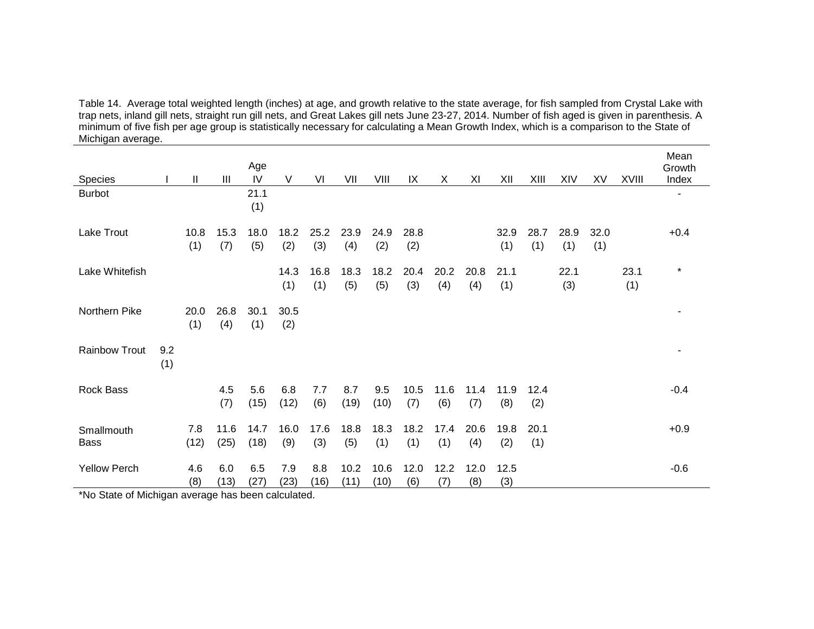Table 14. Average total weighted length (inches) at age, and growth relative to the state average, for fish sampled from Crystal Lake with<br>trap nets, inland gill nets, straight run gill nets, and Great Lakes gill nets Jun minimum of five fish per age group is statistically necessary for calculating a Mean Growth Index, which is a comparison to the State of Michigan average.

| Species                                         |            | Ш           | Ш                  | Age<br>IV    | V                | VI          | VII          | VIII         | IX          | X           | XI          | XII         | XIII        | XIV         | XV          | XVIII       | Mean<br>Growth<br>Index |
|-------------------------------------------------|------------|-------------|--------------------|--------------|------------------|-------------|--------------|--------------|-------------|-------------|-------------|-------------|-------------|-------------|-------------|-------------|-------------------------|
| <b>Burbot</b>                                   |            |             |                    | 21.1<br>(1)  |                  |             |              |              |             |             |             |             |             |             |             |             |                         |
| Lake Trout                                      |            | 10.8<br>(1) | 15.3<br>(7)        | 18.0<br>(5)  | 18.2<br>(2)      | 25.2<br>(3) | 23.9<br>(4)  | 24.9<br>(2)  | 28.8<br>(2) |             |             | 32.9<br>(1) | 28.7<br>(1) | 28.9<br>(1) | 32.0<br>(1) |             | $+0.4$                  |
| Lake Whitefish                                  |            |             |                    |              | 14.3<br>(1)      | 16.8<br>(1) | 18.3<br>(5)  | 18.2<br>(5)  | 20.4<br>(3) | 20.2<br>(4) | 20.8<br>(4) | 21.1<br>(1) |             | 22.1<br>(3) |             | 23.1<br>(1) | $\star$                 |
| Northern Pike                                   |            | 20.0<br>(1) | 26.8<br>(4)        | 30.1<br>(1)  | 30.5<br>(2)      |             |              |              |             |             |             |             |             |             |             |             |                         |
| <b>Rainbow Trout</b>                            | 9.2<br>(1) |             |                    |              |                  |             |              |              |             |             |             |             |             |             |             |             |                         |
| Rock Bass                                       |            |             | 4.5<br>(7)         | 5.6<br>(15)  | 6.8<br>(12)      | 7.7<br>(6)  | 8.7<br>(19)  | 9.5<br>(10)  | 10.5<br>(7) | 11.6<br>(6) | 11.4<br>(7) | 11.9<br>(8) | 12.4<br>(2) |             |             |             | $-0.4$                  |
| Smallmouth<br><b>Bass</b>                       |            | 7.8<br>(12) | 11.6<br>(25)       | 14.7<br>(18) | 16.0<br>(9)      | 17.6<br>(3) | 18.8<br>(5)  | 18.3<br>(1)  | 18.2<br>(1) | 17.4<br>(1) | 20.6<br>(4) | 19.8<br>(2) | 20.1<br>(1) |             |             |             | $+0.9$                  |
| <b>Yellow Perch</b><br><b>ALL OFFICE CRAFTS</b> |            | 4.6<br>(8)  | 6.0<br>(13)<br>. . | 6.5<br>(27)  | 7.9<br>(23)<br>. | 8.8<br>(16) | 10.2<br>(11) | 10.6<br>(10) | 12.0<br>(6) | 12.2<br>(7) | 12.0<br>(8) | 12.5<br>(3) |             |             |             |             | $-0.6$                  |

\*No State of Michigan average has been calculated.